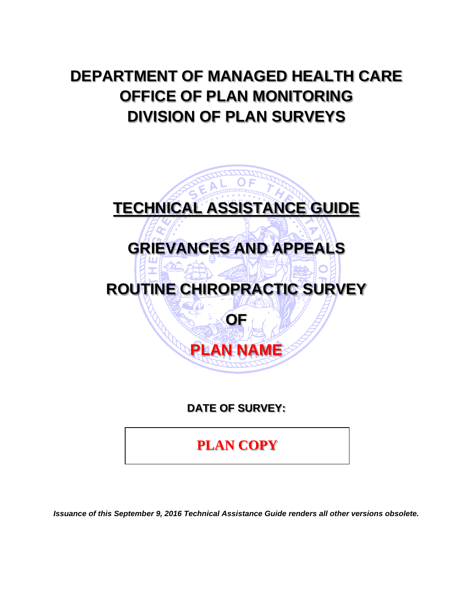# **DEPARTMENT OF MANAGED HEALTH CARE OFFICE OF PLAN MONITORING DIVISION OF PLAN SURVEYS**



**DATE OF SURVEY:** 

**PLAN COPY**

*Issuance of this September 9, 2016 Technical Assistance Guide renders all other versions obsolete.*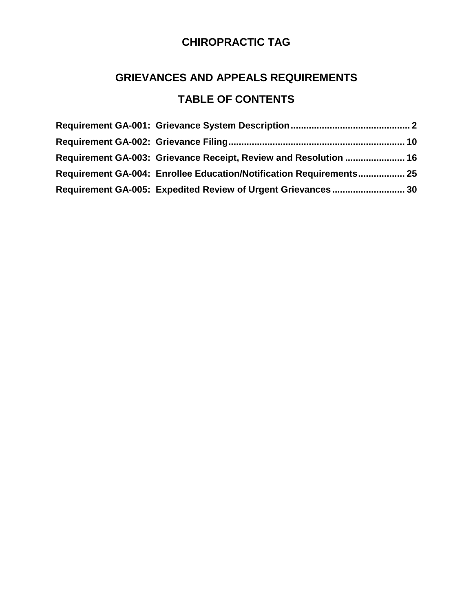# **GRIEVANCES AND APPEALS REQUIREMENTS TABLE OF CONTENTS**

| Requirement GA-003: Grievance Receipt, Review and Resolution  16    |  |
|---------------------------------------------------------------------|--|
| Requirement GA-004: Enrollee Education/Notification Requirements 25 |  |
| Requirement GA-005: Expedited Review of Urgent Grievances 30        |  |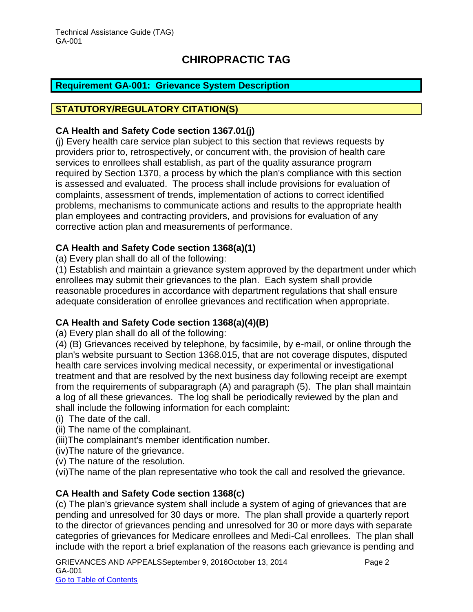#### <span id="page-2-0"></span>**Requirement GA-001: Grievance System Description**

#### **STATUTORY/REGULATORY CITATION(S)**

#### **CA Health and Safety Code section 1367.01(j)**

(j) Every health care service plan subject to this section that reviews requests by providers prior to, retrospectively, or concurrent with, the provision of health care services to enrollees shall establish, as part of the quality assurance program required by Section 1370, a process by which the plan's compliance with this section is assessed and evaluated. The process shall include provisions for evaluation of complaints, assessment of trends, implementation of actions to correct identified problems, mechanisms to communicate actions and results to the appropriate health plan employees and contracting providers, and provisions for evaluation of any corrective action plan and measurements of performance.

#### **CA Health and Safety Code section 1368(a)(1)**

(a) Every plan shall do all of the following:

(1) Establish and maintain a grievance system approved by the department under which enrollees may submit their grievances to the plan. Each system shall provide reasonable procedures in accordance with department regulations that shall ensure adequate consideration of enrollee grievances and rectification when appropriate.

#### **CA Health and Safety Code section 1368(a)(4)(B)**

(a) Every plan shall do all of the following:

(4) (B) Grievances received by telephone, by facsimile, by e-mail, or online through the plan's website pursuant to Section 1368.015, that are not coverage disputes, disputed health care services involving medical necessity, or experimental or investigational treatment and that are resolved by the next business day following receipt are exempt from the requirements of subparagraph (A) and paragraph (5). The plan shall maintain a log of all these grievances. The log shall be periodically reviewed by the plan and shall include the following information for each complaint:

- (i) The date of the call.
- (ii) The name of the complainant.
- (iii)The complainant's member identification number.
- (iv)The nature of the grievance.
- (v) The nature of the resolution.

(vi)The name of the plan representative who took the call and resolved the grievance.

#### **CA Health and Safety Code section 1368(c)**

(c) The plan's grievance system shall include a system of aging of grievances that are pending and unresolved for 30 days or more. The plan shall provide a quarterly report to the director of grievances pending and unresolved for 30 or more days with separate categories of grievances for Medicare enrollees and Medi-Cal enrollees. The plan shall include with the report a brief explanation of the reasons each grievance is pending and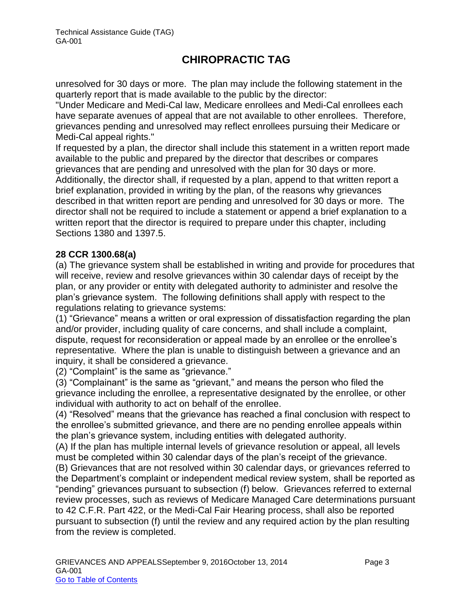unresolved for 30 days or more. The plan may include the following statement in the quarterly report that is made available to the public by the director:

"Under Medicare and Medi-Cal law, Medicare enrollees and Medi-Cal enrollees each have separate avenues of appeal that are not available to other enrollees. Therefore, grievances pending and unresolved may reflect enrollees pursuing their Medicare or Medi-Cal appeal rights."

If requested by a plan, the director shall include this statement in a written report made available to the public and prepared by the director that describes or compares grievances that are pending and unresolved with the plan for 30 days or more. Additionally, the director shall, if requested by a plan, append to that written report a brief explanation, provided in writing by the plan, of the reasons why grievances described in that written report are pending and unresolved for 30 days or more. The director shall not be required to include a statement or append a brief explanation to a written report that the director is required to prepare under this chapter, including Sections 1380 and 1397.5.

#### **28 CCR 1300.68(a)**

(a) The grievance system shall be established in writing and provide for procedures that will receive, review and resolve grievances within 30 calendar days of receipt by the plan, or any provider or entity with delegated authority to administer and resolve the plan's grievance system. The following definitions shall apply with respect to the regulations relating to grievance systems:

(1) "Grievance" means a written or oral expression of dissatisfaction regarding the plan and/or provider, including quality of care concerns, and shall include a complaint, dispute, request for reconsideration or appeal made by an enrollee or the enrollee's representative*.* Where the plan is unable to distinguish between a grievance and an inquiry, it shall be considered a grievance.

(2) "Complaint" is the same as "grievance."

(3) "Complainant" is the same as "grievant," and means the person who filed the grievance including the enrollee, a representative designated by the enrollee, or other individual with authority to act on behalf of the enrollee.

(4) "Resolved" means that the grievance has reached a final conclusion with respect to the enrollee's submitted grievance, and there are no pending enrollee appeals within the plan's grievance system, including entities with delegated authority.

(A) If the plan has multiple internal levels of grievance resolution or appeal, all levels must be completed within 30 calendar days of the plan's receipt of the grievance. (B) Grievances that are not resolved within 30 calendar days, or grievances referred to

the Department's complaint or independent medical review system, shall be reported as "pending" grievances pursuant to subsection (f) below. Grievances referred to external review processes, such as reviews of Medicare Managed Care determinations pursuant to 42 C.F.R. Part 422, or the Medi-Cal Fair Hearing process, shall also be reported pursuant to subsection (f) until the review and any required action by the plan resulting from the review is completed.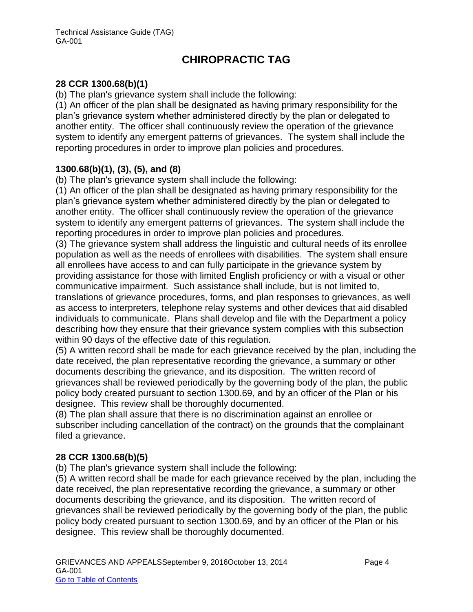#### **28 CCR 1300.68(b)(1)**

(b) The plan's grievance system shall include the following:

(1) An officer of the plan shall be designated as having primary responsibility for the plan's grievance system whether administered directly by the plan or delegated to another entity. The officer shall continuously review the operation of the grievance system to identify any emergent patterns of grievances. The system shall include the reporting procedures in order to improve plan policies and procedures.

#### **1300.68(b)(1), (3), (5), and (8)**

(b) The plan's grievance system shall include the following:

(1) An officer of the plan shall be designated as having primary responsibility for the plan's grievance system whether administered directly by the plan or delegated to another entity. The officer shall continuously review the operation of the grievance system to identify any emergent patterns of grievances. The system shall include the reporting procedures in order to improve plan policies and procedures.

(3) The grievance system shall address the linguistic and cultural needs of its enrollee population as well as the needs of enrollees with disabilities. The system shall ensure all enrollees have access to and can fully participate in the grievance system by providing assistance for those with limited English proficiency or with a visual or other communicative impairment. Such assistance shall include, but is not limited to, translations of grievance procedures, forms, and plan responses to grievances, as well as access to interpreters, telephone relay systems and other devices that aid disabled individuals to communicate. Plans shall develop and file with the Department a policy describing how they ensure that their grievance system complies with this subsection within 90 days of the effective date of this regulation.

(5) A written record shall be made for each grievance received by the plan, including the date received, the plan representative recording the grievance, a summary or other documents describing the grievance, and its disposition. The written record of grievances shall be reviewed periodically by the governing body of the plan, the public policy body created pursuant to section 1300.69, and by an officer of the Plan or his designee. This review shall be thoroughly documented.

(8) The plan shall assure that there is no discrimination against an enrollee or subscriber including cancellation of the contract) on the grounds that the complainant filed a grievance.

#### **28 CCR 1300.68(b)(5)**

(b) The plan's grievance system shall include the following:

(5) A written record shall be made for each grievance received by the plan, including the date received, the plan representative recording the grievance, a summary or other documents describing the grievance, and its disposition. The written record of grievances shall be reviewed periodically by the governing body of the plan, the public policy body created pursuant to section 1300.69, and by an officer of the Plan or his designee. This review shall be thoroughly documented.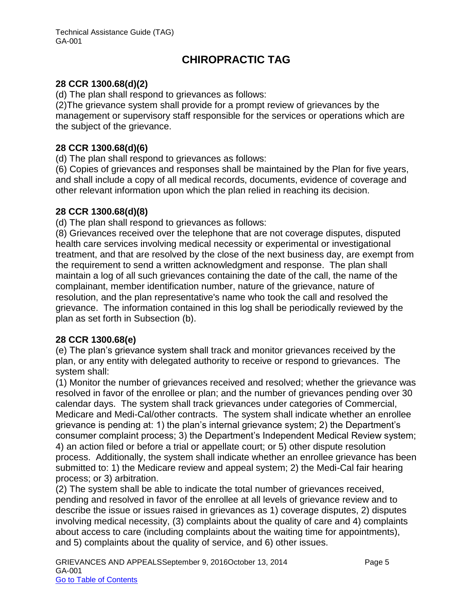#### **28 CCR 1300.68(d)(2)**

(d) The plan shall respond to grievances as follows:

(2)The grievance system shall provide for a prompt review of grievances by the management or supervisory staff responsible for the services or operations which are the subject of the grievance.

#### **28 CCR 1300.68(d)(6)**

(d) The plan shall respond to grievances as follows:

(6) Copies of grievances and responses shall be maintained by the Plan for five years, and shall include a copy of all medical records, documents, evidence of coverage and other relevant information upon which the plan relied in reaching its decision.

#### **28 CCR 1300.68(d)(8)**

(d) The plan shall respond to grievances as follows:

(8) Grievances received over the telephone that are not coverage disputes, disputed health care services involving medical necessity or experimental or investigational treatment, and that are resolved by the close of the next business day, are exempt from the requirement to send a written acknowledgment and response. The plan shall maintain a log of all such grievances containing the date of the call, the name of the complainant, member identification number, nature of the grievance, nature of resolution, and the plan representative's name who took the call and resolved the grievance. The information contained in this log shall be periodically reviewed by the plan as set forth in Subsection (b).

#### **28 CCR 1300.68(e)**

(e) The plan's grievance system shall track and monitor grievances received by the plan, or any entity with delegated authority to receive or respond to grievances. The system shall:

(1) Monitor the number of grievances received and resolved; whether the grievance was resolved in favor of the enrollee or plan; and the number of grievances pending over 30 calendar days. The system shall track grievances under categories of Commercial, Medicare and Medi-Cal/other contracts. The system shall indicate whether an enrollee grievance is pending at: 1) the plan's internal grievance system; 2) the Department's consumer complaint process; 3) the Department's Independent Medical Review system; 4) an action filed or before a trial or appellate court; or 5) other dispute resolution process. Additionally, the system shall indicate whether an enrollee grievance has been submitted to: 1) the Medicare review and appeal system; 2) the Medi-Cal fair hearing process; or 3) arbitration.

(2) The system shall be able to indicate the total number of grievances received, pending and resolved in favor of the enrollee at all levels of grievance review and to describe the issue or issues raised in grievances as 1) coverage disputes, 2) disputes involving medical necessity, (3) complaints about the quality of care and 4) complaints about access to care (including complaints about the waiting time for appointments), and 5) complaints about the quality of service, and 6) other issues.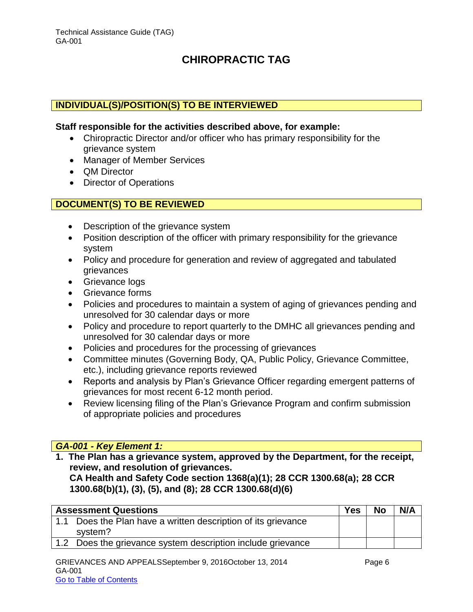#### **INDIVIDUAL(S)/POSITION(S) TO BE INTERVIEWED**

#### **Staff responsible for the activities described above, for example:**

- Chiropractic Director and/or officer who has primary responsibility for the grievance system
- Manager of Member Services
- **QM Director**
- Director of Operations

#### **DOCUMENT(S) TO BE REVIEWED**

- Description of the grievance system
- Position description of the officer with primary responsibility for the grievance system
- Policy and procedure for generation and review of aggregated and tabulated grievances
- Grievance logs
- Grievance forms
- Policies and procedures to maintain a system of aging of grievances pending and unresolved for 30 calendar days or more
- Policy and procedure to report quarterly to the DMHC all grievances pending and unresolved for 30 calendar days or more
- Policies and procedures for the processing of grievances
- Committee minutes (Governing Body, QA, Public Policy, Grievance Committee, etc.), including grievance reports reviewed
- Reports and analysis by Plan's Grievance Officer regarding emergent patterns of grievances for most recent 6-12 month period.
- Review licensing filing of the Plan's Grievance Program and confirm submission of appropriate policies and procedures

#### *GA-001 - Key Element 1:*

**1. The Plan has a grievance system, approved by the Department, for the receipt, review, and resolution of grievances.** 

**CA Health and Safety Code section 1368(a)(1); 28 CCR 1300.68(a); 28 CCR 1300.68(b)(1), (3), (5), and (8); 28 CCR 1300.68(d)(6)**

| <b>Assessment Questions</b>                                   | <b>Yes</b> | <b>No</b> | N/A |
|---------------------------------------------------------------|------------|-----------|-----|
| 1.1 Does the Plan have a written description of its grievance |            |           |     |
| system?                                                       |            |           |     |
| 1.2 Does the grievance system description include grievance   |            |           |     |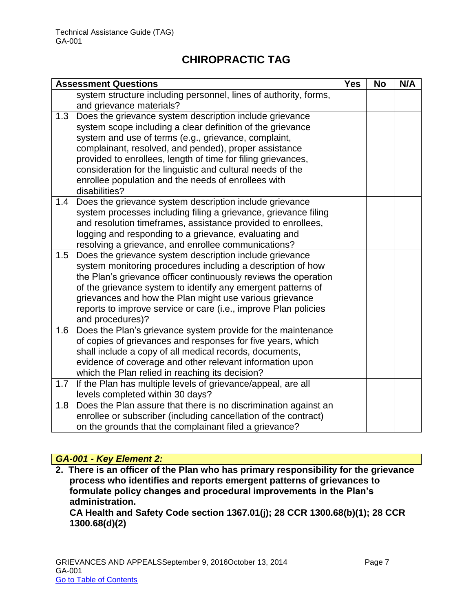|     | <b>Assessment Questions</b>                                                         | <b>Yes</b> | <b>No</b> | N/A |
|-----|-------------------------------------------------------------------------------------|------------|-----------|-----|
|     | system structure including personnel, lines of authority, forms,                    |            |           |     |
|     | and grievance materials?                                                            |            |           |     |
| 1.3 | Does the grievance system description include grievance                             |            |           |     |
|     | system scope including a clear definition of the grievance                          |            |           |     |
|     | system and use of terms (e.g., grievance, complaint,                                |            |           |     |
|     | complainant, resolved, and pended), proper assistance                               |            |           |     |
|     | provided to enrollees, length of time for filing grievances,                        |            |           |     |
|     | consideration for the linguistic and cultural needs of the                          |            |           |     |
|     | enrollee population and the needs of enrollees with                                 |            |           |     |
|     | disabilities?                                                                       |            |           |     |
| 1.4 | Does the grievance system description include grievance                             |            |           |     |
|     | system processes including filing a grievance, grievance filing                     |            |           |     |
|     | and resolution timeframes, assistance provided to enrollees,                        |            |           |     |
|     | logging and responding to a grievance, evaluating and                               |            |           |     |
|     | resolving a grievance, and enrollee communications?                                 |            |           |     |
| 1.5 | Does the grievance system description include grievance                             |            |           |     |
|     | system monitoring procedures including a description of how                         |            |           |     |
|     | the Plan's grievance officer continuously reviews the operation                     |            |           |     |
|     | of the grievance system to identify any emergent patterns of                        |            |           |     |
|     | grievances and how the Plan might use various grievance                             |            |           |     |
|     | reports to improve service or care (i.e., improve Plan policies<br>and procedures)? |            |           |     |
| 1.6 | Does the Plan's grievance system provide for the maintenance                        |            |           |     |
|     | of copies of grievances and responses for five years, which                         |            |           |     |
|     | shall include a copy of all medical records, documents,                             |            |           |     |
|     | evidence of coverage and other relevant information upon                            |            |           |     |
|     | which the Plan relied in reaching its decision?                                     |            |           |     |
| 1.7 | If the Plan has multiple levels of grievance/appeal, are all                        |            |           |     |
|     | levels completed within 30 days?                                                    |            |           |     |
| 1.8 | Does the Plan assure that there is no discrimination against an                     |            |           |     |
|     | enrollee or subscriber (including cancellation of the contract)                     |            |           |     |
|     | on the grounds that the complainant filed a grievance?                              |            |           |     |

### *GA-001 - Key Element 2:*

**2. There is an officer of the Plan who has primary responsibility for the grievance process who identifies and reports emergent patterns of grievances to formulate policy changes and procedural improvements in the Plan's administration. CA Health and Safety Code section 1367.01(j); 28 CCR 1300.68(b)(1); 28 CCR 1300.68(d)(2)**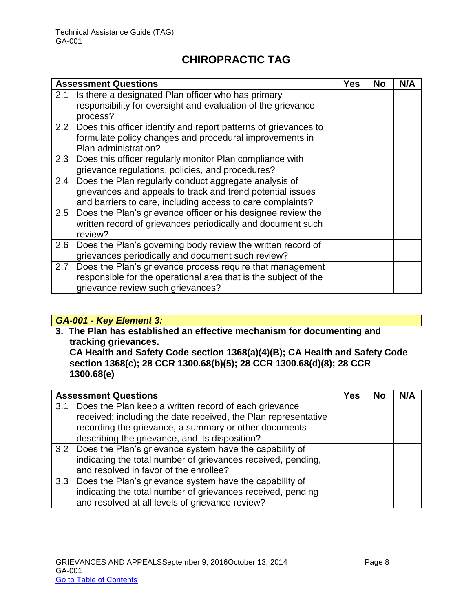|     | <b>Assessment Questions</b>                                                                                                                                                       | <b>Yes</b> | <b>No</b> | N/A |
|-----|-----------------------------------------------------------------------------------------------------------------------------------------------------------------------------------|------------|-----------|-----|
| 2.1 | Is there a designated Plan officer who has primary<br>responsibility for oversight and evaluation of the grievance<br>process?                                                    |            |           |     |
|     | 2.2 Does this officer identify and report patterns of grievances to<br>formulate policy changes and procedural improvements in<br>Plan administration?                            |            |           |     |
| 2.3 | Does this officer regularly monitor Plan compliance with<br>grievance regulations, policies, and procedures?                                                                      |            |           |     |
| 2.4 | Does the Plan regularly conduct aggregate analysis of<br>grievances and appeals to track and trend potential issues<br>and barriers to care, including access to care complaints? |            |           |     |
|     | 2.5 Does the Plan's grievance officer or his designee review the<br>written record of grievances periodically and document such<br>review?                                        |            |           |     |
| 2.6 | Does the Plan's governing body review the written record of<br>grievances periodically and document such review?                                                                  |            |           |     |
| 2.7 | Does the Plan's grievance process require that management<br>responsible for the operational area that is the subject of the<br>grievance review such grievances?                 |            |           |     |

#### *GA-001 - Key Element 3:*

**3. The Plan has established an effective mechanism for documenting and tracking grievances. CA Health and Safety Code section 1368(a)(4)(B); CA Health and Safety Code section 1368(c); 28 CCR 1300.68(b)(5); 28 CCR 1300.68(d)(8); 28 CCR 1300.68(e)**

|     | <b>Assessment Questions</b>                                    | Yes | <b>No</b> | N/A |
|-----|----------------------------------------------------------------|-----|-----------|-----|
| 3.1 | Does the Plan keep a written record of each grievance          |     |           |     |
|     | received; including the date received, the Plan representative |     |           |     |
|     | recording the grievance, a summary or other documents          |     |           |     |
|     | describing the grievance, and its disposition?                 |     |           |     |
|     | 3.2 Does the Plan's grievance system have the capability of    |     |           |     |
|     | indicating the total number of grievances received, pending,   |     |           |     |
|     | and resolved in favor of the enrollee?                         |     |           |     |
|     | 3.3 Does the Plan's grievance system have the capability of    |     |           |     |
|     | indicating the total number of grievances received, pending    |     |           |     |
|     | and resolved at all levels of grievance review?                |     |           |     |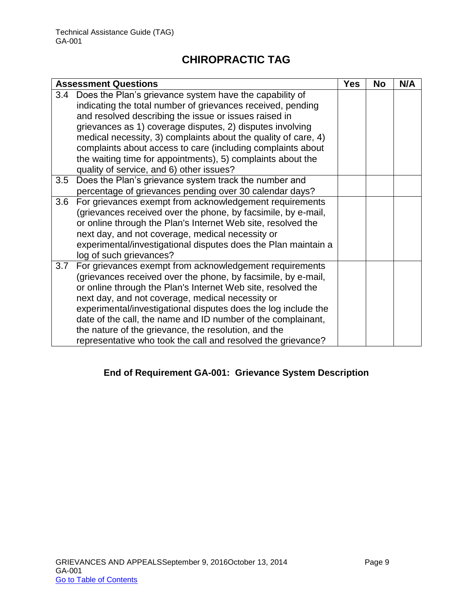| <b>Assessment Questions</b>                                                                                                                                                                                                                                                                                                                                                                                                                                                                                   | <b>Yes</b> | No | N/A |
|---------------------------------------------------------------------------------------------------------------------------------------------------------------------------------------------------------------------------------------------------------------------------------------------------------------------------------------------------------------------------------------------------------------------------------------------------------------------------------------------------------------|------------|----|-----|
| Does the Plan's grievance system have the capability of<br>3.4<br>indicating the total number of grievances received, pending<br>and resolved describing the issue or issues raised in<br>grievances as 1) coverage disputes, 2) disputes involving<br>medical necessity, 3) complaints about the quality of care, 4)<br>complaints about access to care (including complaints about<br>the waiting time for appointments), 5) complaints about the<br>quality of service, and 6) other issues?               |            |    |     |
| Does the Plan's grievance system track the number and<br>3.5<br>percentage of grievances pending over 30 calendar days?                                                                                                                                                                                                                                                                                                                                                                                       |            |    |     |
| For grievances exempt from acknowledgement requirements<br>3.6<br>(grievances received over the phone, by facsimile, by e-mail,<br>or online through the Plan's Internet Web site, resolved the<br>next day, and not coverage, medical necessity or<br>experimental/investigational disputes does the Plan maintain a<br>log of such grievances?                                                                                                                                                              |            |    |     |
| For grievances exempt from acknowledgement requirements<br>3.7<br>(grievances received over the phone, by facsimile, by e-mail,<br>or online through the Plan's Internet Web site, resolved the<br>next day, and not coverage, medical necessity or<br>experimental/investigational disputes does the log include the<br>date of the call, the name and ID number of the complainant,<br>the nature of the grievance, the resolution, and the<br>representative who took the call and resolved the grievance? |            |    |     |

#### **End of Requirement GA-001: Grievance System Description**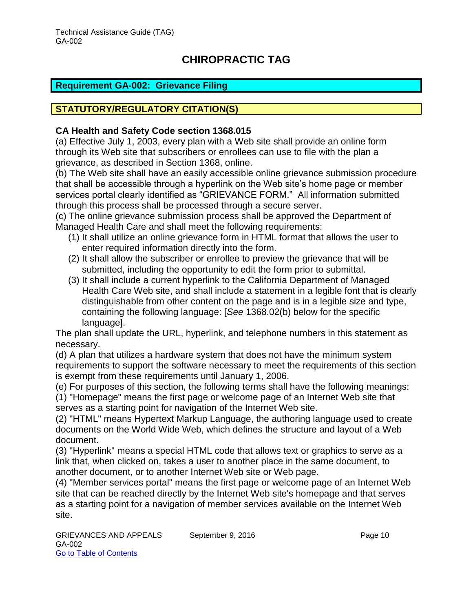#### <span id="page-10-0"></span>**Requirement GA-002: Grievance Filing**

#### **STATUTORY/REGULATORY CITATION(S)**

#### **CA Health and Safety Code section 1368.015**

(a) Effective July 1, 2003, every plan with a Web site shall provide an online form through its Web site that subscribers or enrollees can use to file with the plan a grievance, as described in Section 1368, online.

(b) The Web site shall have an easily accessible online grievance submission procedure that shall be accessible through a hyperlink on the Web site's home page or member services portal clearly identified as "GRIEVANCE FORM." All information submitted through this process shall be processed through a secure server.

(c) The online grievance submission process shall be approved the Department of Managed Health Care and shall meet the following requirements:

- (1) It shall utilize an online grievance form in HTML format that allows the user to enter required information directly into the form.
- (2) It shall allow the subscriber or enrollee to preview the grievance that will be submitted, including the opportunity to edit the form prior to submittal.
- (3) It shall include a current hyperlink to the California Department of Managed Health Care Web site, and shall include a statement in a legible font that is clearly distinguishable from other content on the page and is in a legible size and type, containing the following language: [*See* 1368.02(b) below for the specific language].

The plan shall update the URL, hyperlink, and telephone numbers in this statement as necessary.

(d) A plan that utilizes a hardware system that does not have the minimum system requirements to support the software necessary to meet the requirements of this section is exempt from these requirements until January 1, 2006.

(e) For purposes of this section, the following terms shall have the following meanings:

(1) "Homepage" means the first page or welcome page of an Internet Web site that serves as a starting point for navigation of the Internet Web site.

(2) "HTML" means Hypertext Markup Language, the authoring language used to create documents on the World Wide Web, which defines the structure and layout of a Web document.

(3) "Hyperlink" means a special HTML code that allows text or graphics to serve as a link that, when clicked on, takes a user to another place in the same document, to another document, or to another Internet Web site or Web page.

(4) "Member services portal" means the first page or welcome page of an Internet Web site that can be reached directly by the Internet Web site's homepage and that serves as a starting point for a navigation of member services available on the Internet Web site.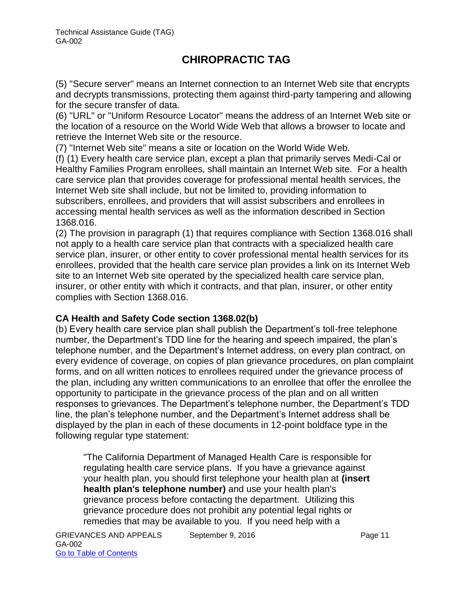(5) "Secure server" means an Internet connection to an Internet Web site that encrypts and decrypts transmissions, protecting them against third-party tampering and allowing for the secure transfer of data.

(6) "URL" or "Uniform Resource Locator" means the address of an Internet Web site or the location of a resource on the World Wide Web that allows a browser to locate and retrieve the Internet Web site or the resource.

(7) "Internet Web site" means a site or location on the World Wide Web.

(f) (1) Every health care service plan, except a plan that primarily serves Medi-Cal or Healthy Families Program enrollees, shall maintain an Internet Web site. For a health care service plan that provides coverage for professional mental health services, the Internet Web site shall include, but not be limited to, providing information to subscribers, enrollees, and providers that will assist subscribers and enrollees in accessing mental health services as well as the information described in Section 1368.016.

(2) The provision in paragraph (1) that requires compliance with Section 1368.016 shall not apply to a health care service plan that contracts with a specialized health care service plan, insurer, or other entity to cover professional mental health services for its enrollees, provided that the health care service plan provides a link on its Internet Web site to an Internet Web site operated by the specialized health care service plan, insurer, or other entity with which it contracts, and that plan, insurer, or other entity complies with Section 1368.016.

#### **CA Health and Safety Code section 1368.02(b)**

(b) Every health care service plan shall publish the Department's toll-free telephone number, the Department's TDD line for the hearing and speech impaired, the plan's telephone number, and the Department's Internet address, on every plan contract, on every evidence of coverage, on copies of plan grievance procedures, on plan complaint forms, and on all written notices to enrollees required under the grievance process of the plan, including any written communications to an enrollee that offer the enrollee the opportunity to participate in the grievance process of the plan and on all written responses to grievances. The Department's telephone number, the Department's TDD line, the plan's telephone number, and the Department's Internet address shall be displayed by the plan in each of these documents in 12-point boldface type in the following regular type statement:

"The California Department of Managed Health Care is responsible for regulating health care service plans. If you have a grievance against your health plan, you should first telephone your health plan at **(insert health plan's telephone number)** and use your health plan's grievance process before contacting the department. Utilizing this grievance procedure does not prohibit any potential legal rights or remedies that may be available to you. If you need help with a

GRIEVANCES AND APPEALS September 9, 2016 CRIEVANCES AND APPEALS GA-002 Go to Table of Contents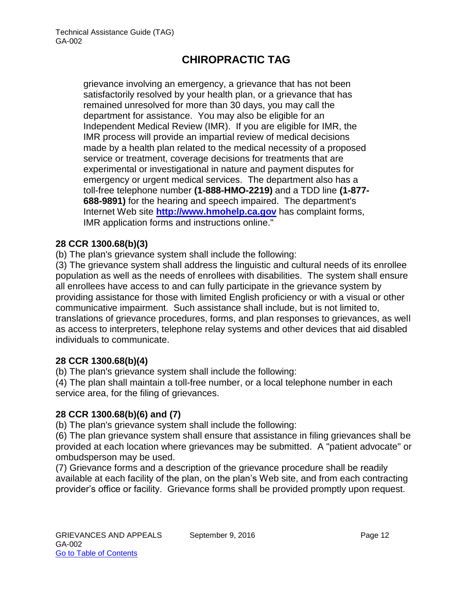grievance involving an emergency, a grievance that has not been satisfactorily resolved by your health plan, or a grievance that has remained unresolved for more than 30 days, you may call the department for assistance. You may also be eligible for an Independent Medical Review (IMR). If you are eligible for IMR, the IMR process will provide an impartial review of medical decisions made by a health plan related to the medical necessity of a proposed service or treatment, coverage decisions for treatments that are experimental or investigational in nature and payment disputes for emergency or urgent medical services. The department also has a toll-free telephone number **(1-888-HMO-2219)** and a TDD line **(1-877- 688-9891)** for the hearing and speech impaired. The department's Internet Web site **[http://www.hmohelp.ca.gov](http://www.hmohelp.ca.gov/)** has complaint forms, IMR application forms and instructions online."

#### **28 CCR 1300.68(b)(3)**

(b) The plan's grievance system shall include the following:

(3) The grievance system shall address the linguistic and cultural needs of its enrollee population as well as the needs of enrollees with disabilities. The system shall ensure all enrollees have access to and can fully participate in the grievance system by providing assistance for those with limited English proficiency or with a visual or other communicative impairment. Such assistance shall include, but is not limited to, translations of grievance procedures, forms, and plan responses to grievances, as well as access to interpreters, telephone relay systems and other devices that aid disabled individuals to communicate.

#### **28 CCR 1300.68(b)(4)**

(b) The plan's grievance system shall include the following:

(4) The plan shall maintain a toll-free number, or a local telephone number in each service area, for the filing of grievances.

#### **28 CCR 1300.68(b)(6) and (7)**

(b) The plan's grievance system shall include the following:

(6) The plan grievance system shall ensure that assistance in filing grievances shall be provided at each location where grievances may be submitted. A "patient advocate" or ombudsperson may be used.

(7) Grievance forms and a description of the grievance procedure shall be readily available at each facility of the plan, on the plan's Web site, and from each contracting provider's office or facility. Grievance forms shall be provided promptly upon request.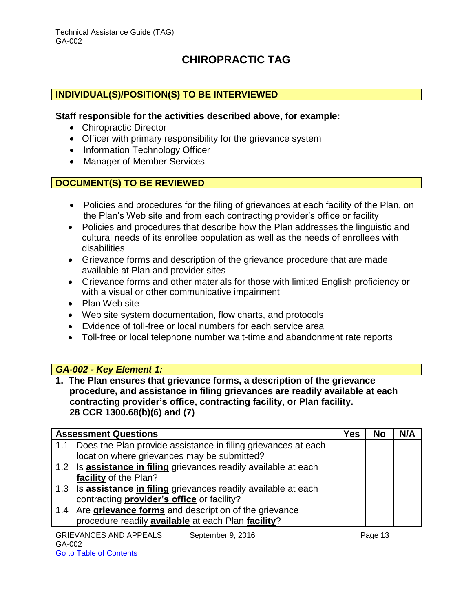#### **INDIVIDUAL(S)/POSITION(S) TO BE INTERVIEWED**

#### **Staff responsible for the activities described above, for example:**

- Chiropractic Director
- Officer with primary responsibility for the grievance system
- Information Technology Officer
- Manager of Member Services

#### **DOCUMENT(S) TO BE REVIEWED**

- Policies and procedures for the filing of grievances at each facility of the Plan, on the Plan's Web site and from each contracting provider's office or facility
- Policies and procedures that describe how the Plan addresses the linguistic and cultural needs of its enrollee population as well as the needs of enrollees with disabilities
- Grievance forms and description of the grievance procedure that are made available at Plan and provider sites
- Grievance forms and other materials for those with limited English proficiency or with a visual or other communicative impairment
- Plan Web site
- Web site system documentation, flow charts, and protocols
- Evidence of toll-free or local numbers for each service area
- Toll-free or local telephone number wait-time and abandonment rate reports

#### *GA-002 - Key Element 1:*

**1. The Plan ensures that grievance forms, a description of the grievance procedure, and assistance in filing grievances are readily available at each contracting provider's office, contracting facility, or Plan facility. 28 CCR 1300.68(b)(6) and (7)**

| <b>Assessment Questions</b>                                       | Yes | No | N/A |
|-------------------------------------------------------------------|-----|----|-----|
| 1.1 Does the Plan provide assistance in filing grievances at each |     |    |     |
| location where grievances may be submitted?                       |     |    |     |
| 1.2 Is assistance in filing grievances readily available at each  |     |    |     |
| facility of the Plan?                                             |     |    |     |
| 1.3 Is assistance in filing grievances readily available at each  |     |    |     |
| contracting <b>provider's office</b> or facility?                 |     |    |     |
| 1.4 Are grievance forms and description of the grievance          |     |    |     |
| procedure readily available at each Plan facility?                |     |    |     |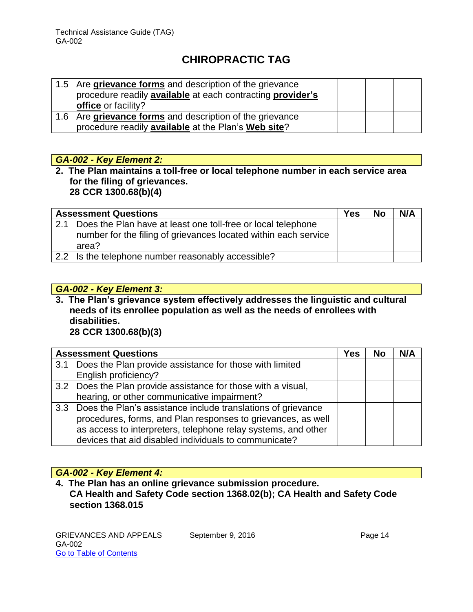| 1.5 Are grievance forms and description of the grievance<br>procedure readily available at each contracting provider's |  |  |
|------------------------------------------------------------------------------------------------------------------------|--|--|
| office or facility?                                                                                                    |  |  |
| 1.6 Are grievance forms and description of the grievance                                                               |  |  |
| procedure readily available at the Plan's Web site?                                                                    |  |  |

#### *GA-002 - Key Element 2:*

**2. The Plan maintains a toll-free or local telephone number in each service area for the filing of grievances. 28 CCR 1300.68(b)(4)**

| <b>Assessment Questions</b>                                                                                                                  | <b>Yes</b> | <b>No</b> | N/A |
|----------------------------------------------------------------------------------------------------------------------------------------------|------------|-----------|-----|
| 2.1 Does the Plan have at least one toll-free or local telephone<br>number for the filing of grievances located within each service<br>area? |            |           |     |
| 2.2 Is the telephone number reasonably accessible?                                                                                           |            |           |     |

#### *GA-002 - Key Element 3:*

**3. The Plan's grievance system effectively addresses the linguistic and cultural needs of its enrollee population as well as the needs of enrollees with disabilities. 28 CCR 1300.68(b)(3)**

|     | <b>Assessment Questions</b>                                      | Yes | No | N/A |
|-----|------------------------------------------------------------------|-----|----|-----|
| 3.1 | Does the Plan provide assistance for those with limited          |     |    |     |
|     | English proficiency?                                             |     |    |     |
|     | 3.2 Does the Plan provide assistance for those with a visual,    |     |    |     |
|     | hearing, or other communicative impairment?                      |     |    |     |
|     | 3.3 Does the Plan's assistance include translations of grievance |     |    |     |
|     | procedures, forms, and Plan responses to grievances, as well     |     |    |     |
|     | as access to interpreters, telephone relay systems, and other    |     |    |     |
|     | devices that aid disabled individuals to communicate?            |     |    |     |

#### *GA-002 - Key Element 4:*

**4. The Plan has an online grievance submission procedure. CA Health and Safety Code section 1368.02(b); CA Health and Safety Code section 1368.015**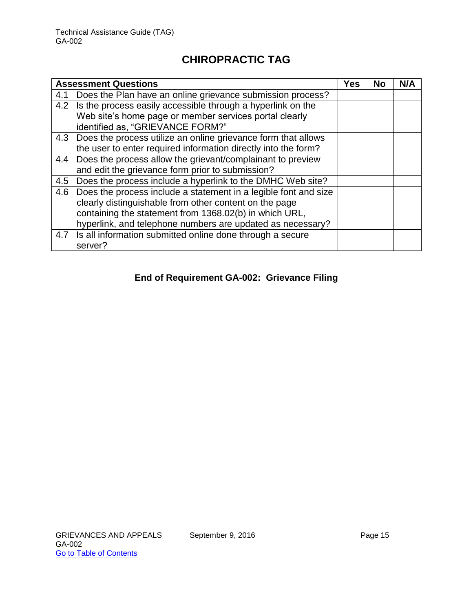| <b>Assessment Questions</b>                                     |                                                                                                                                                                                                                                                                                                                               | No         |  |
|-----------------------------------------------------------------|-------------------------------------------------------------------------------------------------------------------------------------------------------------------------------------------------------------------------------------------------------------------------------------------------------------------------------|------------|--|
| Does the Plan have an online grievance submission process?      |                                                                                                                                                                                                                                                                                                                               |            |  |
|                                                                 |                                                                                                                                                                                                                                                                                                                               |            |  |
| identified as, "GRIEVANCE FORM?"                                |                                                                                                                                                                                                                                                                                                                               |            |  |
|                                                                 |                                                                                                                                                                                                                                                                                                                               |            |  |
| the user to enter required information directly into the form?  |                                                                                                                                                                                                                                                                                                                               |            |  |
| Does the process allow the grievant/complainant to preview      |                                                                                                                                                                                                                                                                                                                               |            |  |
| and edit the grievance form prior to submission?                |                                                                                                                                                                                                                                                                                                                               |            |  |
| Does the process include a hyperlink to the DMHC Web site?      |                                                                                                                                                                                                                                                                                                                               |            |  |
| Does the process include a statement in a legible font and size |                                                                                                                                                                                                                                                                                                                               |            |  |
| clearly distinguishable from other content on the page          |                                                                                                                                                                                                                                                                                                                               |            |  |
| containing the statement from 1368.02(b) in which URL,          |                                                                                                                                                                                                                                                                                                                               |            |  |
|                                                                 |                                                                                                                                                                                                                                                                                                                               |            |  |
| server?                                                         |                                                                                                                                                                                                                                                                                                                               |            |  |
|                                                                 | 4.2 Is the process easily accessible through a hyperlink on the<br>Web site's home page or member services portal clearly<br>4.3 Does the process utilize an online grievance form that allows<br>hyperlink, and telephone numbers are updated as necessary?<br>4.7 Is all information submitted online done through a secure | <b>Yes</b> |  |

#### **End of Requirement GA-002: Grievance Filing**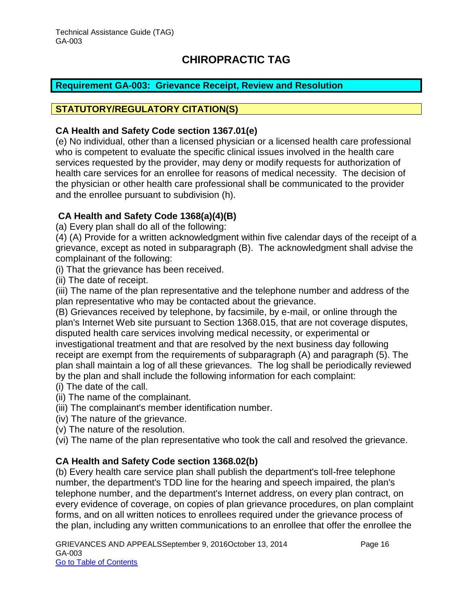#### <span id="page-16-0"></span>**Requirement GA-003: Grievance Receipt, Review and Resolution**

#### **STATUTORY/REGULATORY CITATION(S)**

#### **CA Health and Safety Code section 1367.01(e)**

(e) No individual, other than a licensed physician or a licensed health care professional who is competent to evaluate the specific clinical issues involved in the health care services requested by the provider, may deny or modify requests for authorization of health care services for an enrollee for reasons of medical necessity. The decision of the physician or other health care professional shall be communicated to the provider and the enrollee pursuant to subdivision (h).

#### **CA Health and Safety Code 1368(a)(4)(B)**

(a) Every plan shall do all of the following:

(4) (A) Provide for a written acknowledgment within five calendar days of the receipt of a grievance, except as noted in subparagraph (B). The acknowledgment shall advise the complainant of the following:

(i) That the grievance has been received.

(ii) The date of receipt.

(iii) The name of the plan representative and the telephone number and address of the plan representative who may be contacted about the grievance.

(B) Grievances received by telephone, by facsimile, by e-mail, or online through the plan's Internet Web site pursuant to Section 1368.015, that are not coverage disputes, disputed health care services involving medical necessity, or experimental or investigational treatment and that are resolved by the next business day following receipt are exempt from the requirements of subparagraph (A) and paragraph (5). The plan shall maintain a log of all these grievances. The log shall be periodically reviewed by the plan and shall include the following information for each complaint:

- (i) The date of the call.
- (ii) The name of the complainant.
- (iii) The complainant's member identification number.
- (iv) The nature of the grievance.
- (v) The nature of the resolution.

(vi) The name of the plan representative who took the call and resolved the grievance.

#### **CA Health and Safety Code section 1368.02(b)**

(b) Every health care service plan shall publish the department's toll-free telephone number, the department's TDD line for the hearing and speech impaired, the plan's telephone number, and the department's Internet address, on every plan contract, on every evidence of coverage, on copies of plan grievance procedures, on plan complaint forms, and on all written notices to enrollees required under the grievance process of the plan, including any written communications to an enrollee that offer the enrollee the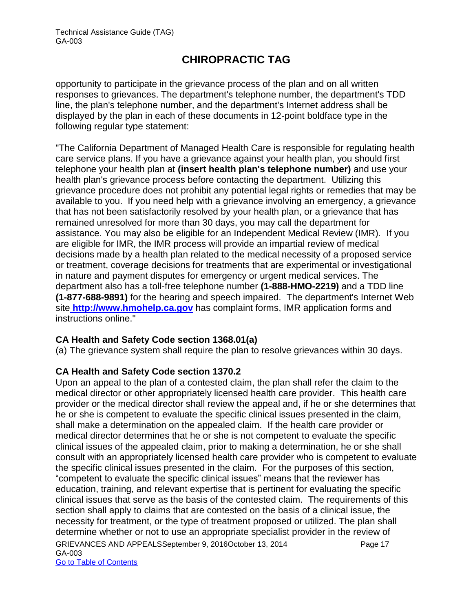opportunity to participate in the grievance process of the plan and on all written responses to grievances. The department's telephone number, the department's TDD line, the plan's telephone number, and the department's Internet address shall be displayed by the plan in each of these documents in 12-point boldface type in the following regular type statement:

"The California Department of Managed Health Care is responsible for regulating health care service plans. If you have a grievance against your health plan, you should first telephone your health plan at **(insert health plan's telephone number)** and use your health plan's grievance process before contacting the department. Utilizing this grievance procedure does not prohibit any potential legal rights or remedies that may be available to you. If you need help with a grievance involving an emergency, a grievance that has not been satisfactorily resolved by your health plan, or a grievance that has remained unresolved for more than 30 days, you may call the department for assistance. You may also be eligible for an Independent Medical Review (IMR). If you are eligible for IMR, the IMR process will provide an impartial review of medical decisions made by a health plan related to the medical necessity of a proposed service or treatment, coverage decisions for treatments that are experimental or investigational in nature and payment disputes for emergency or urgent medical services. The department also has a toll-free telephone number **(1-888-HMO-2219)** and a TDD line **(1-877-688-9891)** for the hearing and speech impaired. The department's Internet Web site **[http://www.hmohelp.ca.gov](http://www.hmohelp.ca.gov/)** has complaint forms, IMR application forms and instructions online."

#### **CA Health and Safety Code section 1368.01(a)**

(a) The grievance system shall require the plan to resolve grievances within 30 days.

#### **CA Health and Safety Code section 1370.2**

GRIEVANCES AND APPEALSSeptember 9, 2016October 13, 2014 Page 17 GA-003 Go to Table of Contents Upon an appeal to the plan of a contested claim, the plan shall refer the claim to the medical director or other appropriately licensed health care provider. This health care provider or the medical director shall review the appeal and, if he or she determines that he or she is competent to evaluate the specific clinical issues presented in the claim, shall make a determination on the appealed claim. If the health care provider or medical director determines that he or she is not competent to evaluate the specific clinical issues of the appealed claim, prior to making a determination, he or she shall consult with an appropriately licensed health care provider who is competent to evaluate the specific clinical issues presented in the claim. For the purposes of this section, "competent to evaluate the specific clinical issues" means that the reviewer has education, training, and relevant expertise that is pertinent for evaluating the specific clinical issues that serve as the basis of the contested claim. The requirements of this section shall apply to claims that are contested on the basis of a clinical issue, the necessity for treatment, or the type of treatment proposed or utilized. The plan shall determine whether or not to use an appropriate specialist provider in the review of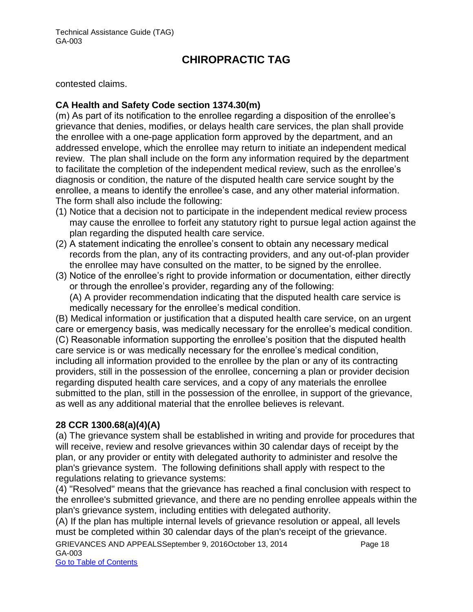contested claims.

#### **CA Health and Safety Code section 1374.30(m)**

(m) As part of its notification to the enrollee regarding a disposition of the enrollee's grievance that denies, modifies, or delays health care services, the plan shall provide the enrollee with a one-page application form approved by the department, and an addressed envelope, which the enrollee may return to initiate an independent medical review. The plan shall include on the form any information required by the department to facilitate the completion of the independent medical review, such as the enrollee's diagnosis or condition, the nature of the disputed health care service sought by the enrollee, a means to identify the enrollee's case, and any other material information. The form shall also include the following:

- (1) Notice that a decision not to participate in the independent medical review process may cause the enrollee to forfeit any statutory right to pursue legal action against the plan regarding the disputed health care service.
- (2) A statement indicating the enrollee's consent to obtain any necessary medical records from the plan, any of its contracting providers, and any out-of-plan provider the enrollee may have consulted on the matter, to be signed by the enrollee.
- (3) Notice of the enrollee's right to provide information or documentation, either directly or through the enrollee's provider, regarding any of the following: (A) A provider recommendation indicating that the disputed health care service is

medically necessary for the enrollee's medical condition.

(B) Medical information or justification that a disputed health care service, on an urgent care or emergency basis, was medically necessary for the enrollee's medical condition. (C) Reasonable information supporting the enrollee's position that the disputed health care service is or was medically necessary for the enrollee's medical condition, including all information provided to the enrollee by the plan or any of its contracting providers, still in the possession of the enrollee, concerning a plan or provider decision regarding disputed health care services, and a copy of any materials the enrollee submitted to the plan, still in the possession of the enrollee, in support of the grievance, as well as any additional material that the enrollee believes is relevant.

#### **28 CCR 1300.68(a)(4)(A)**

(a) The grievance system shall be established in writing and provide for procedures that will receive, review and resolve grievances within 30 calendar days of receipt by the plan, or any provider or entity with delegated authority to administer and resolve the plan's grievance system. The following definitions shall apply with respect to the regulations relating to grievance systems:

(4) "Resolved" means that the grievance has reached a final conclusion with respect to the enrollee's submitted grievance, and there are no pending enrollee appeals within the plan's grievance system, including entities with delegated authority.

(A) If the plan has multiple internal levels of grievance resolution or appeal, all levels must be completed within 30 calendar days of the plan's receipt of the grievance.

GRIEVANCES AND APPEALSSeptember 9, 2016October 13, 2014 Page 18 GA-003

Go to Table of Contents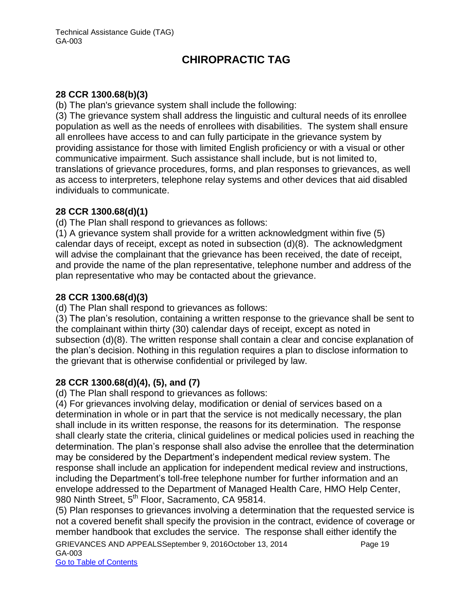#### **28 CCR 1300.68(b)(3)**

(b) The plan's grievance system shall include the following:

(3) The grievance system shall address the linguistic and cultural needs of its enrollee population as well as the needs of enrollees with disabilities. The system shall ensure all enrollees have access to and can fully participate in the grievance system by providing assistance for those with limited English proficiency or with a visual or other communicative impairment. Such assistance shall include, but is not limited to, translations of grievance procedures, forms, and plan responses to grievances, as well as access to interpreters, telephone relay systems and other devices that aid disabled individuals to communicate.

#### **28 CCR 1300.68(d)(1)**

(d) The Plan shall respond to grievances as follows:

(1) A grievance system shall provide for a written acknowledgment within five (5) calendar days of receipt, except as noted in subsection (d)(8). The acknowledgment will advise the complainant that the grievance has been received, the date of receipt, and provide the name of the plan representative, telephone number and address of the plan representative who may be contacted about the grievance.

#### **28 CCR 1300.68(d)(3)**

(d) The Plan shall respond to grievances as follows:

(3) The plan's resolution, containing a written response to the grievance shall be sent to the complainant within thirty (30) calendar days of receipt, except as noted in subsection (d)(8). The written response shall contain a clear and concise explanation of the plan's decision. Nothing in this regulation requires a plan to disclose information to the grievant that is otherwise confidential or privileged by law.

#### **28 CCR 1300.68(d)(4), (5), and (7)**

(d) The Plan shall respond to grievances as follows:

(4) For grievances involving delay, modification or denial of services based on a determination in whole or in part that the service is not medically necessary, the plan shall include in its written response, the reasons for its determination. The response shall clearly state the criteria, clinical guidelines or medical policies used in reaching the determination. The plan's response shall also advise the enrollee that the determination may be considered by the Department's independent medical review system. The response shall include an application for independent medical review and instructions, including the Department's toll-free telephone number for further information and an envelope addressed to the Department of Managed Health Care, HMO Help Center, 980 Ninth Street, 5<sup>th</sup> Floor, Sacramento, CA 95814.

(5) Plan responses to grievances involving a determination that the requested service is not a covered benefit shall specify the provision in the contract, evidence of coverage or member handbook that excludes the service. The response shall either identify the

GRIEVANCES AND APPEALSSeptember 9, 2016October 13, 2014 Page 19 GA-003

Go to Table of Contents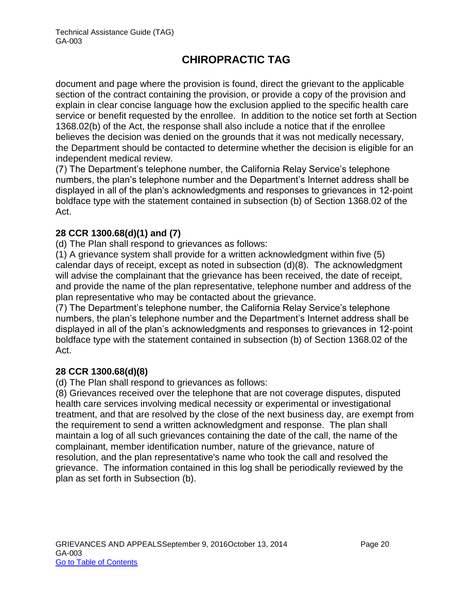document and page where the provision is found, direct the grievant to the applicable section of the contract containing the provision, or provide a copy of the provision and explain in clear concise language how the exclusion applied to the specific health care service or benefit requested by the enrollee. In addition to the notice set forth at Section 1368.02(b) of the Act, the response shall also include a notice that if the enrollee believes the decision was denied on the grounds that it was not medically necessary, the Department should be contacted to determine whether the decision is eligible for an independent medical review.

(7) The Department's telephone number, the California Relay Service's telephone numbers, the plan's telephone number and the Department's Internet address shall be displayed in all of the plan's acknowledgments and responses to grievances in 12-point boldface type with the statement contained in subsection (b) of Section 1368.02 of the Act.

#### **28 CCR 1300.68(d)(1) and (7)**

(d) The Plan shall respond to grievances as follows:

(1) A grievance system shall provide for a written acknowledgment within five (5) calendar days of receipt, except as noted in subsection (d)(8). The acknowledgment will advise the complainant that the grievance has been received, the date of receipt, and provide the name of the plan representative, telephone number and address of the plan representative who may be contacted about the grievance.

(7) The Department's telephone number, the California Relay Service's telephone numbers, the plan's telephone number and the Department's Internet address shall be displayed in all of the plan's acknowledgments and responses to grievances in 12-point boldface type with the statement contained in subsection (b) of Section 1368.02 of the Act.

#### **28 CCR 1300.68(d)(8)**

(d) The Plan shall respond to grievances as follows:

(8) Grievances received over the telephone that are not coverage disputes, disputed health care services involving medical necessity or experimental or investigational treatment, and that are resolved by the close of the next business day, are exempt from the requirement to send a written acknowledgment and response. The plan shall maintain a log of all such grievances containing the date of the call, the name of the complainant, member identification number, nature of the grievance, nature of resolution, and the plan representative's name who took the call and resolved the grievance. The information contained in this log shall be periodically reviewed by the plan as set forth in Subsection (b).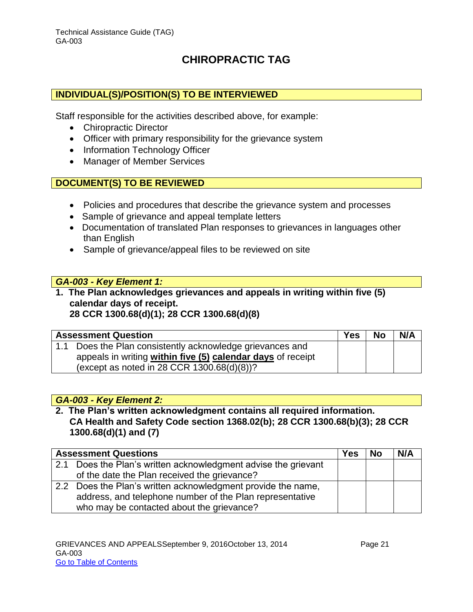#### **INDIVIDUAL(S)/POSITION(S) TO BE INTERVIEWED**

Staff responsible for the activities described above, for example:

- Chiropractic Director
- Officer with primary responsibility for the grievance system
- Information Technology Officer
- Manager of Member Services

#### **DOCUMENT(S) TO BE REVIEWED**

- Policies and procedures that describe the grievance system and processes
- Sample of grievance and appeal template letters
- Documentation of translated Plan responses to grievances in languages other than English
- Sample of grievance/appeal files to be reviewed on site

#### *GA-003 - Key Element 1:*

**1. The Plan acknowledges grievances and appeals in writing within five (5) calendar days of receipt. 28 CCR 1300.68(d)(1); 28 CCR 1300.68(d)(8)**

| <b>Assessment Question</b>                                  | <b>Yes</b> | <b>No</b> | N/A |
|-------------------------------------------------------------|------------|-----------|-----|
| 1.1 Does the Plan consistently acknowledge grievances and   |            |           |     |
| appeals in writing within five (5) calendar days of receipt |            |           |     |
| (except as noted in 28 CCR $1300.68(d)(8)$ )?               |            |           |     |

#### *GA-003 - Key Element 2:*

**2. The Plan's written acknowledgment contains all required information. CA Health and Safety Code section 1368.02(b); 28 CCR 1300.68(b)(3); 28 CCR 1300.68(d)(1) and (7)**

|     | <b>Assessment Questions</b>                                  | <b>Yes</b> | <b>No</b> | N/A |
|-----|--------------------------------------------------------------|------------|-----------|-----|
| 2.1 | Does the Plan's written acknowledgment advise the grievant   |            |           |     |
|     | of the date the Plan received the grievance?                 |            |           |     |
|     | 2.2 Does the Plan's written acknowledgment provide the name, |            |           |     |
|     | address, and telephone number of the Plan representative     |            |           |     |
|     | who may be contacted about the grievance?                    |            |           |     |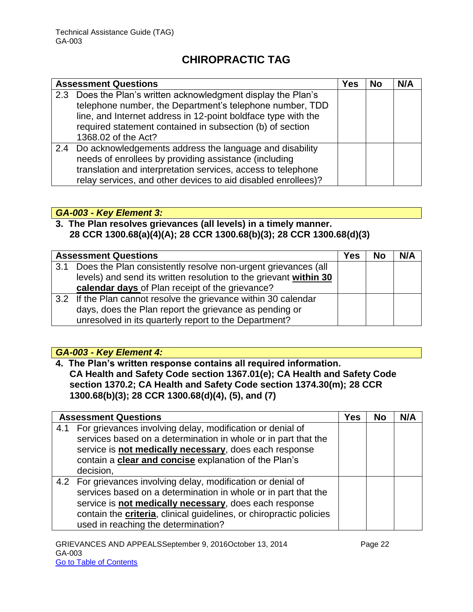| <b>Assessment Questions</b>                                                                                                                                                                                                                                                    | Yes | <b>No</b> | N/A |
|--------------------------------------------------------------------------------------------------------------------------------------------------------------------------------------------------------------------------------------------------------------------------------|-----|-----------|-----|
| 2.3 Does the Plan's written acknowledgment display the Plan's<br>telephone number, the Department's telephone number, TDD<br>line, and Internet address in 12-point boldface type with the<br>required statement contained in subsection (b) of section<br>1368.02 of the Act? |     |           |     |
| 2.4 Do acknowledgements address the language and disability<br>needs of enrollees by providing assistance (including<br>translation and interpretation services, access to telephone<br>relay services, and other devices to aid disabled enrollees)?                          |     |           |     |

#### *GA-003 - Key Element 3:*

#### **3. The Plan resolves grievances (all levels) in a timely manner. 28 CCR 1300.68(a)(4)(A); 28 CCR 1300.68(b)(3); 28 CCR 1300.68(d)(3)**

|     | <b>Assessment Questions</b>                                       | Yes | <b>No</b> | N/A |
|-----|-------------------------------------------------------------------|-----|-----------|-----|
| 3.1 | Does the Plan consistently resolve non-urgent grievances (all     |     |           |     |
|     | levels) and send its written resolution to the grievant within 30 |     |           |     |
|     | calendar days of Plan receipt of the grievance?                   |     |           |     |
|     | 3.2 If the Plan cannot resolve the grievance within 30 calendar   |     |           |     |
|     | days, does the Plan report the grievance as pending or            |     |           |     |
|     | unresolved in its quarterly report to the Department?             |     |           |     |

#### *GA-003 - Key Element 4:*

**4. The Plan's written response contains all required information. CA Health and Safety Code section 1367.01(e); CA Health and Safety Code section 1370.2; CA Health and Safety Code section 1374.30(m); 28 CCR 1300.68(b)(3); 28 CCR 1300.68(d)(4), (5), and (7)**

|     | <b>Assessment Questions</b>                                                 | <b>Yes</b> | <b>No</b> | N/A |
|-----|-----------------------------------------------------------------------------|------------|-----------|-----|
| 4.1 | For grievances involving delay, modification or denial of                   |            |           |     |
|     | services based on a determination in whole or in part that the              |            |           |     |
|     | service is not medically necessary, does each response                      |            |           |     |
|     | contain a clear and concise explanation of the Plan's                       |            |           |     |
|     | decision,                                                                   |            |           |     |
|     | 4.2 For grievances involving delay, modification or denial of               |            |           |     |
|     | services based on a determination in whole or in part that the              |            |           |     |
|     | service is not medically necessary, does each response                      |            |           |     |
|     | contain the <b>criteria</b> , clinical guidelines, or chiropractic policies |            |           |     |
|     | used in reaching the determination?                                         |            |           |     |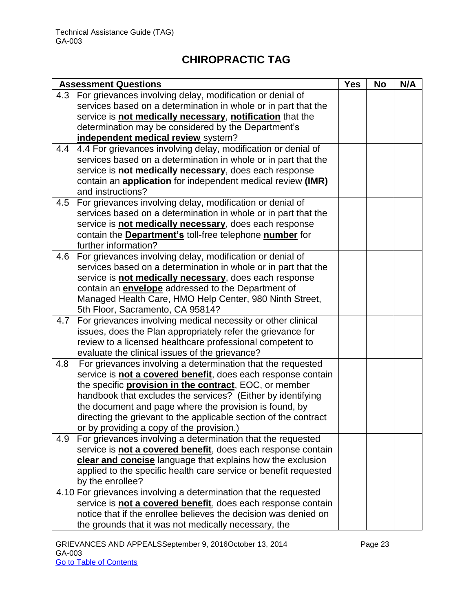|     | <b>Assessment Questions</b>                                           | <b>Yes</b> | <b>No</b> | N/A |
|-----|-----------------------------------------------------------------------|------------|-----------|-----|
| 4.3 | For grievances involving delay, modification or denial of             |            |           |     |
|     | services based on a determination in whole or in part that the        |            |           |     |
|     | service is not medically necessary, notification that the             |            |           |     |
|     | determination may be considered by the Department's                   |            |           |     |
|     | independent medical review system?                                    |            |           |     |
| 4.4 | 4.4 For grievances involving delay, modification or denial of         |            |           |     |
|     | services based on a determination in whole or in part that the        |            |           |     |
|     | service is not medically necessary, does each response                |            |           |     |
|     | contain an application for independent medical review (IMR)           |            |           |     |
|     | and instructions?                                                     |            |           |     |
| 4.5 | For grievances involving delay, modification or denial of             |            |           |     |
|     | services based on a determination in whole or in part that the        |            |           |     |
|     | service is not medically necessary, does each response                |            |           |     |
|     | contain the <b>Department's</b> toll-free telephone <b>number</b> for |            |           |     |
|     | further information?                                                  |            |           |     |
| 4.6 | For grievances involving delay, modification or denial of             |            |           |     |
|     | services based on a determination in whole or in part that the        |            |           |     |
|     | service is not medically necessary, does each response                |            |           |     |
|     | contain an <b>envelope</b> addressed to the Department of             |            |           |     |
|     | Managed Health Care, HMO Help Center, 980 Ninth Street,               |            |           |     |
|     | 5th Floor, Sacramento, CA 95814?                                      |            |           |     |
| 4.7 | For grievances involving medical necessity or other clinical          |            |           |     |
|     | issues, does the Plan appropriately refer the grievance for           |            |           |     |
|     | review to a licensed healthcare professional competent to             |            |           |     |
|     | evaluate the clinical issues of the grievance?                        |            |           |     |
| 4.8 | For grievances involving a determination that the requested           |            |           |     |
|     | service is not a covered benefit, does each response contain          |            |           |     |
|     | the specific <b>provision in the contract</b> , EOC, or member        |            |           |     |
|     | handbook that excludes the services? (Either by identifying           |            |           |     |
|     | the document and page where the provision is found, by                |            |           |     |
|     | directing the grievant to the applicable section of the contract      |            |           |     |
|     | or by providing a copy of the provision.)                             |            |           |     |
| 4.9 | For grievances involving a determination that the requested           |            |           |     |
|     | service is not a covered benefit, does each response contain          |            |           |     |
|     | clear and concise language that explains how the exclusion            |            |           |     |
|     | applied to the specific health care service or benefit requested      |            |           |     |
|     | by the enrollee?                                                      |            |           |     |
|     | 4.10 For grievances involving a determination that the requested      |            |           |     |
|     | service is not a covered benefit, does each response contain          |            |           |     |
|     | notice that if the enrollee believes the decision was denied on       |            |           |     |
|     | the grounds that it was not medically necessary, the                  |            |           |     |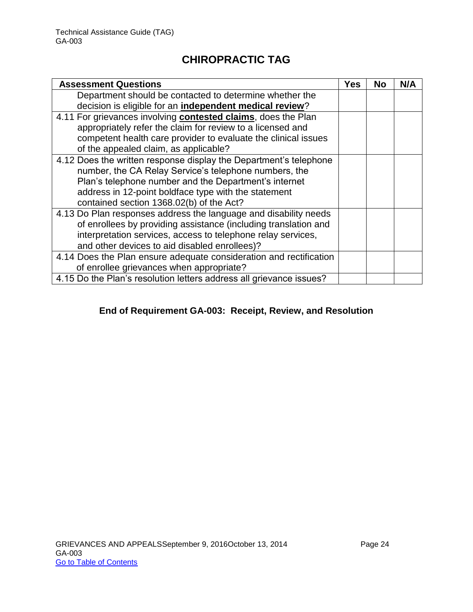| <b>Assessment Questions</b>                                         | Yes | <b>No</b> | N/A |
|---------------------------------------------------------------------|-----|-----------|-----|
| Department should be contacted to determine whether the             |     |           |     |
| decision is eligible for an independent medical review?             |     |           |     |
| 4.11 For grievances involving contested claims, does the Plan       |     |           |     |
| appropriately refer the claim for review to a licensed and          |     |           |     |
| competent health care provider to evaluate the clinical issues      |     |           |     |
| of the appealed claim, as applicable?                               |     |           |     |
| 4.12 Does the written response display the Department's telephone   |     |           |     |
| number, the CA Relay Service's telephone numbers, the               |     |           |     |
| Plan's telephone number and the Department's internet               |     |           |     |
| address in 12-point boldface type with the statement                |     |           |     |
| contained section 1368.02(b) of the Act?                            |     |           |     |
| 4.13 Do Plan responses address the language and disability needs    |     |           |     |
| of enrollees by providing assistance (including translation and     |     |           |     |
| interpretation services, access to telephone relay services,        |     |           |     |
| and other devices to aid disabled enrollees)?                       |     |           |     |
| 4.14 Does the Plan ensure adequate consideration and rectification  |     |           |     |
| of enrollee grievances when appropriate?                            |     |           |     |
| 4.15 Do the Plan's resolution letters address all grievance issues? |     |           |     |

#### **End of Requirement GA-003: Receipt, Review, and Resolution**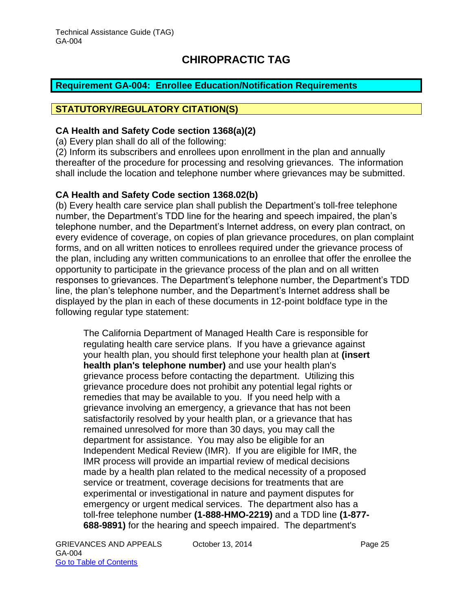#### <span id="page-25-0"></span>**Requirement GA-004: Enrollee Education/Notification Requirements**

#### **STATUTORY/REGULATORY CITATION(S)**

#### **CA Health and Safety Code section 1368(a)(2)**

(a) Every plan shall do all of the following:

(2) Inform its subscribers and enrollees upon enrollment in the plan and annually thereafter of the procedure for processing and resolving grievances. The information shall include the location and telephone number where grievances may be submitted.

#### **CA Health and Safety Code section 1368.02(b)**

(b) Every health care service plan shall publish the Department's toll-free telephone number, the Department's TDD line for the hearing and speech impaired, the plan's telephone number, and the Department's Internet address, on every plan contract, on every evidence of coverage, on copies of plan grievance procedures, on plan complaint forms, and on all written notices to enrollees required under the grievance process of the plan, including any written communications to an enrollee that offer the enrollee the opportunity to participate in the grievance process of the plan and on all written responses to grievances. The Department's telephone number, the Department's TDD line, the plan's telephone number, and the Department's Internet address shall be displayed by the plan in each of these documents in 12-point boldface type in the following regular type statement:

The California Department of Managed Health Care is responsible for regulating health care service plans. If you have a grievance against your health plan, you should first telephone your health plan at **(insert health plan's telephone number)** and use your health plan's grievance process before contacting the department. Utilizing this grievance procedure does not prohibit any potential legal rights or remedies that may be available to you. If you need help with a grievance involving an emergency, a grievance that has not been satisfactorily resolved by your health plan, or a grievance that has remained unresolved for more than 30 days, you may call the department for assistance. You may also be eligible for an Independent Medical Review (IMR). If you are eligible for IMR, the IMR process will provide an impartial review of medical decisions made by a health plan related to the medical necessity of a proposed service or treatment, coverage decisions for treatments that are experimental or investigational in nature and payment disputes for emergency or urgent medical services. The department also has a toll-free telephone number **(1-888-HMO-2219)** and a TDD line **(1-877- 688-9891)** for the hearing and speech impaired. The department's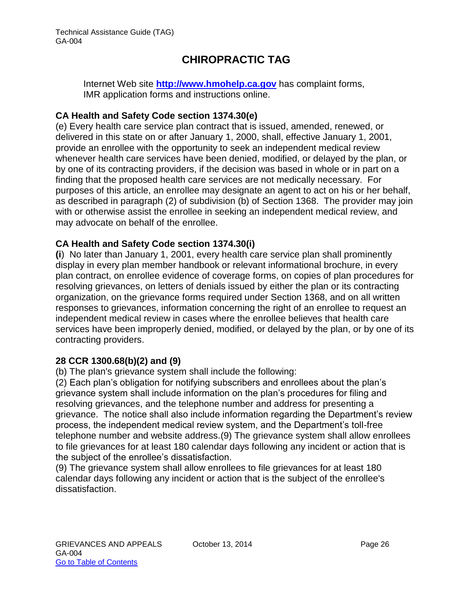Internet Web site **[http://www.hmohelp.ca.gov](http://www.hmohelp.ca.gov/)** has complaint forms, IMR application forms and instructions online.

#### **CA Health and Safety Code section 1374.30(e)**

(e) Every health care service plan contract that is issued, amended, renewed, or delivered in this state on or after January 1, 2000, shall, effective January 1, 2001, provide an enrollee with the opportunity to seek an independent medical review whenever health care services have been denied, modified, or delayed by the plan, or by one of its contracting providers, if the decision was based in whole or in part on a finding that the proposed health care services are not medically necessary. For purposes of this article, an enrollee may designate an agent to act on his or her behalf, as described in paragraph (2) of subdivision (b) of Section 1368. The provider may join with or otherwise assist the enrollee in seeking an independent medical review, and may advocate on behalf of the enrollee.

#### **CA Health and Safety Code section 1374.30(i)**

**(i**) No later than January 1, 2001, every health care service plan shall prominently display in every plan member handbook or relevant informational brochure, in every plan contract, on enrollee evidence of coverage forms, on copies of plan procedures for resolving grievances, on letters of denials issued by either the plan or its contracting organization, on the grievance forms required under Section 1368, and on all written responses to grievances, information concerning the right of an enrollee to request an independent medical review in cases where the enrollee believes that health care services have been improperly denied, modified, or delayed by the plan, or by one of its contracting providers.

#### **28 CCR 1300.68(b)(2) and (9)**

(b) The plan's grievance system shall include the following:

(2) Each plan's obligation for notifying subscribers and enrollees about the plan's grievance system shall include information on the plan's procedures for filing and resolving grievances, and the telephone number and address for presenting a grievance. The notice shall also include information regarding the Department's review process, the independent medical review system, and the Department's toll-free telephone number and website address.(9) The grievance system shall allow enrollees to file grievances for at least 180 calendar days following any incident or action that is the subject of the enrollee's dissatisfaction.

(9) The grievance system shall allow enrollees to file grievances for at least 180 calendar days following any incident or action that is the subject of the enrollee's dissatisfaction.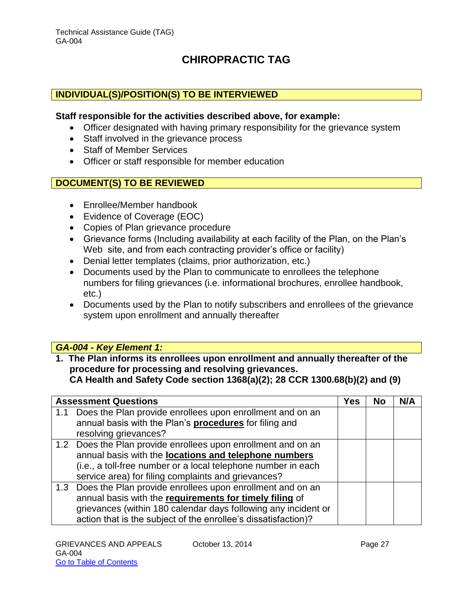#### **INDIVIDUAL(S)/POSITION(S) TO BE INTERVIEWED**

#### **Staff responsible for the activities described above, for example:**

- Officer designated with having primary responsibility for the grievance system
- Staff involved in the grievance process
- Staff of Member Services
- Officer or staff responsible for member education

#### **DOCUMENT(S) TO BE REVIEWED**

- Enrollee/Member handbook
- Evidence of Coverage (EOC)
- Copies of Plan grievance procedure
- Grievance forms (Including availability at each facility of the Plan, on the Plan's Web site, and from each contracting provider's office or facility)
- Denial letter templates (claims, prior authorization, etc.)
- Documents used by the Plan to communicate to enrollees the telephone numbers for filing grievances (i.e. informational brochures, enrollee handbook, etc.)
- Documents used by the Plan to notify subscribers and enrollees of the grievance system upon enrollment and annually thereafter

#### *GA-004 - Key Element 1:*

**1. The Plan informs its enrollees upon enrollment and annually thereafter of the procedure for processing and resolving grievances. CA Health and Safety Code section 1368(a)(2); 28 CCR 1300.68(b)(2) and (9)**

| <b>Assessment Questions</b>                                                                                                                                                                                                                                  | Yes | <b>No</b> | N/A |
|--------------------------------------------------------------------------------------------------------------------------------------------------------------------------------------------------------------------------------------------------------------|-----|-----------|-----|
| 1.1 Does the Plan provide enrollees upon enrollment and on an<br>annual basis with the Plan's procedures for filing and<br>resolving grievances?                                                                                                             |     |           |     |
| 1.2 Does the Plan provide enrollees upon enrollment and on an<br>annual basis with the locations and telephone numbers<br>(i.e., a toll-free number or a local telephone number in each<br>service area) for filing complaints and grievances?               |     |           |     |
| 1.3 Does the Plan provide enrollees upon enrollment and on an<br>annual basis with the requirements for timely filing of<br>grievances (within 180 calendar days following any incident or<br>action that is the subject of the enrollee's dissatisfaction)? |     |           |     |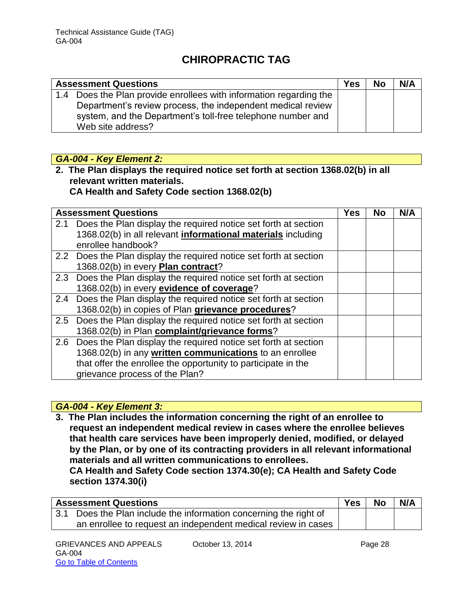| <b>Assessment Questions</b>                                        | <b>Yes</b> | <b>No</b> | N/A |
|--------------------------------------------------------------------|------------|-----------|-----|
| 1.4 Does the Plan provide enrollees with information regarding the |            |           |     |
| Department's review process, the independent medical review        |            |           |     |
| system, and the Department's toll-free telephone number and        |            |           |     |
| Web site address?                                                  |            |           |     |

#### *GA-004 - Key Element 2:*

**2. The Plan displays the required notice set forth at section 1368.02(b) in all relevant written materials.** 

**CA Health and Safety Code section 1368.02(b)**

|     | <b>Assessment Questions</b>                                         | <b>Yes</b> | <b>No</b> | N/A |
|-----|---------------------------------------------------------------------|------------|-----------|-----|
| 2.1 | Does the Plan display the required notice set forth at section      |            |           |     |
|     | 1368.02(b) in all relevant <i>informational materials</i> including |            |           |     |
|     | enrollee handbook?                                                  |            |           |     |
|     | 2.2 Does the Plan display the required notice set forth at section  |            |           |     |
|     | 1368.02(b) in every Plan contract?                                  |            |           |     |
| 2.3 | Does the Plan display the required notice set forth at section      |            |           |     |
|     | 1368.02(b) in every evidence of coverage?                           |            |           |     |
| 2.4 | Does the Plan display the required notice set forth at section      |            |           |     |
|     | 1368.02(b) in copies of Plan grievance procedures?                  |            |           |     |
|     | 2.5 Does the Plan display the required notice set forth at section  |            |           |     |
|     | 1368.02(b) in Plan complaint/grievance forms?                       |            |           |     |
|     | 2.6 Does the Plan display the required notice set forth at section  |            |           |     |
|     | 1368.02(b) in any written communications to an enrollee             |            |           |     |
|     | that offer the enrollee the opportunity to participate in the       |            |           |     |
|     | grievance process of the Plan?                                      |            |           |     |

#### *GA-004 - Key Element 3:*

**3. The Plan includes the information concerning the right of an enrollee to request an independent medical review in cases where the enrollee believes that health care services have been improperly denied, modified, or delayed by the Plan, or by one of its contracting providers in all relevant informational materials and all written communications to enrollees.** 

**CA Health and Safety Code section 1374.30(e); CA Health and Safety Code section 1374.30(i)**

| <b>Assessment Questions</b>                                       | <b>Yes</b> | <b>No</b> | N/A |
|-------------------------------------------------------------------|------------|-----------|-----|
| 3.1 Does the Plan include the information concerning the right of |            |           |     |
| an enrollee to request an independent medical review in cases     |            |           |     |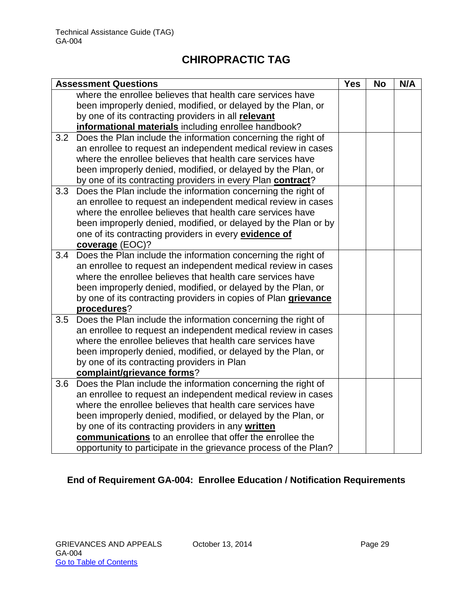|     | <b>Assessment Questions</b>                                      | <b>Yes</b> | <b>No</b> | N/A |
|-----|------------------------------------------------------------------|------------|-----------|-----|
|     | where the enrollee believes that health care services have       |            |           |     |
|     | been improperly denied, modified, or delayed by the Plan, or     |            |           |     |
|     | by one of its contracting providers in all relevant              |            |           |     |
|     | informational materials including enrollee handbook?             |            |           |     |
| 3.2 | Does the Plan include the information concerning the right of    |            |           |     |
|     | an enrollee to request an independent medical review in cases    |            |           |     |
|     | where the enrollee believes that health care services have       |            |           |     |
|     | been improperly denied, modified, or delayed by the Plan, or     |            |           |     |
|     | by one of its contracting providers in every Plan contract?      |            |           |     |
| 3.3 | Does the Plan include the information concerning the right of    |            |           |     |
|     | an enrollee to request an independent medical review in cases    |            |           |     |
|     | where the enrollee believes that health care services have       |            |           |     |
|     | been improperly denied, modified, or delayed by the Plan or by   |            |           |     |
|     | one of its contracting providers in every <b>evidence of</b>     |            |           |     |
|     | coverage (EOC)?                                                  |            |           |     |
| 3.4 | Does the Plan include the information concerning the right of    |            |           |     |
|     | an enrollee to request an independent medical review in cases    |            |           |     |
|     | where the enrollee believes that health care services have       |            |           |     |
|     | been improperly denied, modified, or delayed by the Plan, or     |            |           |     |
|     | by one of its contracting providers in copies of Plan grievance  |            |           |     |
|     | procedures?                                                      |            |           |     |
| 3.5 | Does the Plan include the information concerning the right of    |            |           |     |
|     | an enrollee to request an independent medical review in cases    |            |           |     |
|     | where the enrollee believes that health care services have       |            |           |     |
|     | been improperly denied, modified, or delayed by the Plan, or     |            |           |     |
|     | by one of its contracting providers in Plan                      |            |           |     |
|     | complaint/grievance forms?                                       |            |           |     |
| 3.6 | Does the Plan include the information concerning the right of    |            |           |     |
|     | an enrollee to request an independent medical review in cases    |            |           |     |
|     | where the enrollee believes that health care services have       |            |           |     |
|     | been improperly denied, modified, or delayed by the Plan, or     |            |           |     |
|     | by one of its contracting providers in any written               |            |           |     |
|     | communications to an enrollee that offer the enrollee the        |            |           |     |
|     | opportunity to participate in the grievance process of the Plan? |            |           |     |

### **End of Requirement GA-004: Enrollee Education / Notification Requirements**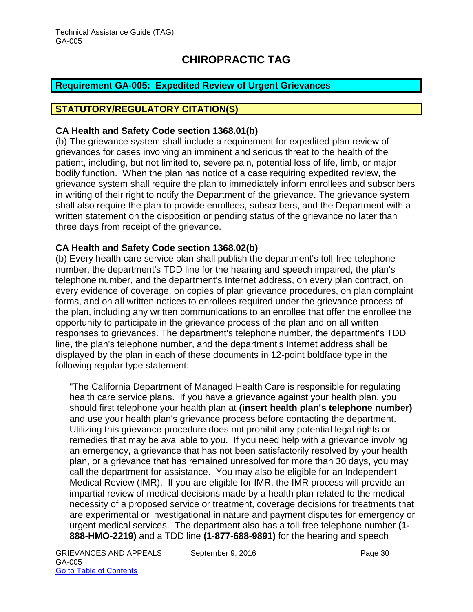#### <span id="page-30-0"></span>**Requirement GA-005: Expedited Review of Urgent Grievances**

#### **STATUTORY/REGULATORY CITATION(S)**

#### **CA Health and Safety Code section 1368.01(b)**

(b) The grievance system shall include a requirement for expedited plan review of grievances for cases involving an imminent and serious threat to the health of the patient, including, but not limited to, severe pain, potential loss of life, limb, or major bodily function. When the plan has notice of a case requiring expedited review, the grievance system shall require the plan to immediately inform enrollees and subscribers in writing of their right to notify the Department of the grievance. The grievance system shall also require the plan to provide enrollees, subscribers, and the Department with a written statement on the disposition or pending status of the grievance no later than three days from receipt of the grievance.

#### **CA Health and Safety Code section 1368.02(b)**

(b) Every health care service plan shall publish the department's toll-free telephone number, the department's TDD line for the hearing and speech impaired, the plan's telephone number, and the department's Internet address, on every plan contract, on every evidence of coverage, on copies of plan grievance procedures, on plan complaint forms, and on all written notices to enrollees required under the grievance process of the plan, including any written communications to an enrollee that offer the enrollee the opportunity to participate in the grievance process of the plan and on all written responses to grievances. The department's telephone number, the department's TDD line, the plan's telephone number, and the department's Internet address shall be displayed by the plan in each of these documents in 12-point boldface type in the following regular type statement:

"The California Department of Managed Health Care is responsible for regulating health care service plans. If you have a grievance against your health plan, you should first telephone your health plan at **(insert health plan's telephone number)** and use your health plan's grievance process before contacting the department. Utilizing this grievance procedure does not prohibit any potential legal rights or remedies that may be available to you. If you need help with a grievance involving an emergency, a grievance that has not been satisfactorily resolved by your health plan, or a grievance that has remained unresolved for more than 30 days, you may call the department for assistance. You may also be eligible for an Independent Medical Review (IMR). If you are eligible for IMR, the IMR process will provide an impartial review of medical decisions made by a health plan related to the medical necessity of a proposed service or treatment, coverage decisions for treatments that are experimental or investigational in nature and payment disputes for emergency or urgent medical services. The department also has a toll-free telephone number **(1- 888-HMO-2219)** and a TDD line **(1-877-688-9891)** for the hearing and speech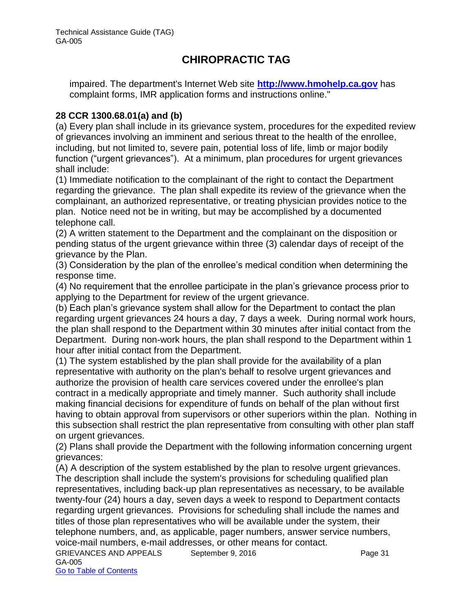impaired. The department's Internet Web site **[http://www.hmohelp.ca.gov](http://www.hmohelp.ca.gov/)** has complaint forms, IMR application forms and instructions online."

#### **28 CCR 1300.68.01(a) and (b)**

(a) Every plan shall include in its grievance system, procedures for the expedited review of grievances involving an imminent and serious threat to the health of the enrollee, including, but not limited to, severe pain, potential loss of life, limb or major bodily function ("urgent grievances"). At a minimum, plan procedures for urgent grievances shall include:

(1) Immediate notification to the complainant of the right to contact the Department regarding the grievance. The plan shall expedite its review of the grievance when the complainant, an authorized representative, or treating physician provides notice to the plan. Notice need not be in writing, but may be accomplished by a documented telephone call.

(2) A written statement to the Department and the complainant on the disposition or pending status of the urgent grievance within three (3) calendar days of receipt of the grievance by the Plan.

(3) Consideration by the plan of the enrollee's medical condition when determining the response time.

(4) No requirement that the enrollee participate in the plan's grievance process prior to applying to the Department for review of the urgent grievance.

(b) Each plan's grievance system shall allow for the Department to contact the plan regarding urgent grievances 24 hours a day, 7 days a week. During normal work hours, the plan shall respond to the Department within 30 minutes after initial contact from the Department. During non-work hours, the plan shall respond to the Department within 1 hour after initial contact from the Department.

(1) The system established by the plan shall provide for the availability of a plan representative with authority on the plan's behalf to resolve urgent grievances and authorize the provision of health care services covered under the enrollee's plan contract in a medically appropriate and timely manner. Such authority shall include making financial decisions for expenditure of funds on behalf of the plan without first having to obtain approval from supervisors or other superiors within the plan. Nothing in this subsection shall restrict the plan representative from consulting with other plan staff on urgent grievances.

(2) Plans shall provide the Department with the following information concerning urgent grievances:

(A) A description of the system established by the plan to resolve urgent grievances. The description shall include the system's provisions for scheduling qualified plan representatives, including back-up plan representatives as necessary, to be available twenty-four (24) hours a day, seven days a week to respond to Department contacts regarding urgent grievances. Provisions for scheduling shall include the names and titles of those plan representatives who will be available under the system, their telephone numbers, and, as applicable, pager numbers, answer service numbers, voice-mail numbers, e-mail addresses, or other means for contact.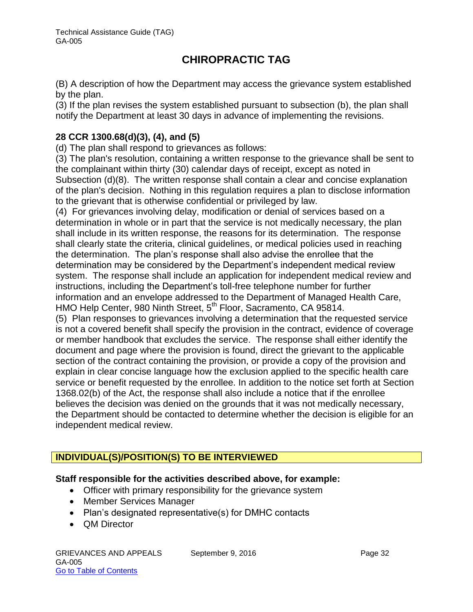(B) A description of how the Department may access the grievance system established by the plan.

(3) If the plan revises the system established pursuant to subsection (b), the plan shall notify the Department at least 30 days in advance of implementing the revisions.

#### **28 CCR 1300.68(d)(3), (4), and (5)**

(d) The plan shall respond to grievances as follows:

(3) The plan's resolution, containing a written response to the grievance shall be sent to the complainant within thirty (30) calendar days of receipt, except as noted in Subsection (d)(8). The written response shall contain a clear and concise explanation of the plan's decision. Nothing in this regulation requires a plan to disclose information to the grievant that is otherwise confidential or privileged by law.

(4) For grievances involving delay, modification or denial of services based on a determination in whole or in part that the service is not medically necessary, the plan shall include in its written response, the reasons for its determination. The response shall clearly state the criteria, clinical guidelines, or medical policies used in reaching the determination. The plan's response shall also advise the enrollee that the determination may be considered by the Department's independent medical review system. The response shall include an application for independent medical review and instructions, including the Department's toll-free telephone number for further information and an envelope addressed to the Department of Managed Health Care, HMO Help Center, 980 Ninth Street, 5<sup>th</sup> Floor, Sacramento, CA 95814.

(5) Plan responses to grievances involving a determination that the requested service is not a covered benefit shall specify the provision in the contract, evidence of coverage or member handbook that excludes the service. The response shall either identify the document and page where the provision is found, direct the grievant to the applicable section of the contract containing the provision, or provide a copy of the provision and explain in clear concise language how the exclusion applied to the specific health care service or benefit requested by the enrollee. In addition to the notice set forth at Section 1368.02(b) of the Act, the response shall also include a notice that if the enrollee believes the decision was denied on the grounds that it was not medically necessary, the Department should be contacted to determine whether the decision is eligible for an independent medical review.

#### **INDIVIDUAL(S)/POSITION(S) TO BE INTERVIEWED**

#### **Staff responsible for the activities described above, for example:**

- Officer with primary responsibility for the grievance system
- Member Services Manager
- Plan's designated representative(s) for DMHC contacts
- QM Director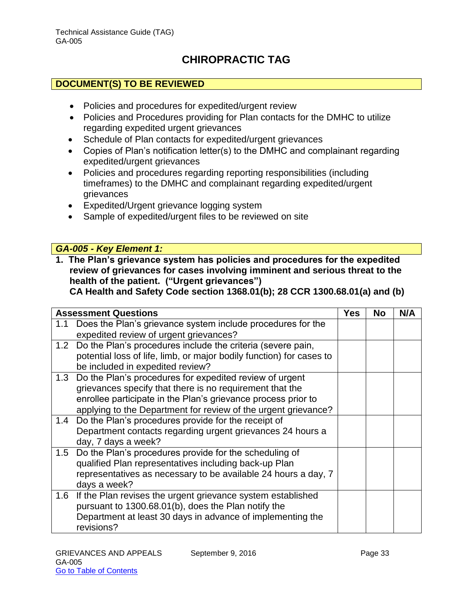#### **DOCUMENT(S) TO BE REVIEWED**

- Policies and procedures for expedited/urgent review
- Policies and Procedures providing for Plan contacts for the DMHC to utilize regarding expedited urgent grievances
- Schedule of Plan contacts for expedited/urgent grievances
- Copies of Plan's notification letter(s) to the DMHC and complainant regarding expedited/urgent grievances
- Policies and procedures regarding reporting responsibilities (including timeframes) to the DMHC and complainant regarding expedited/urgent grievances
- Expedited/Urgent grievance logging system
- Sample of expedited/urgent files to be reviewed on site

#### *GA-005 - Key Element 1:*

**1. The Plan's grievance system has policies and procedures for the expedited review of grievances for cases involving imminent and serious threat to the health of the patient. ("Urgent grievances")** 

**CA Health and Safety Code section 1368.01(b); 28 CCR 1300.68.01(a) and (b)**

|     | <b>Assessment Questions</b>                                                                                                                                                                                                                            | <b>Yes</b> | No | N/A |
|-----|--------------------------------------------------------------------------------------------------------------------------------------------------------------------------------------------------------------------------------------------------------|------------|----|-----|
| 1.1 | Does the Plan's grievance system include procedures for the<br>expedited review of urgent grievances?                                                                                                                                                  |            |    |     |
|     | 1.2 Do the Plan's procedures include the criteria (severe pain,<br>potential loss of life, limb, or major bodily function) for cases to<br>be included in expedited review?                                                                            |            |    |     |
| 1.3 | Do the Plan's procedures for expedited review of urgent<br>grievances specify that there is no requirement that the<br>enrollee participate in the Plan's grievance process prior to<br>applying to the Department for review of the urgent grievance? |            |    |     |
| 1.4 | Do the Plan's procedures provide for the receipt of<br>Department contacts regarding urgent grievances 24 hours a<br>day, 7 days a week?                                                                                                               |            |    |     |
|     | 1.5 Do the Plan's procedures provide for the scheduling of<br>qualified Plan representatives including back-up Plan<br>representatives as necessary to be available 24 hours a day, 7<br>days a week?                                                  |            |    |     |
| 1.6 | If the Plan revises the urgent grievance system established<br>pursuant to 1300.68.01(b), does the Plan notify the<br>Department at least 30 days in advance of implementing the<br>revisions?                                                         |            |    |     |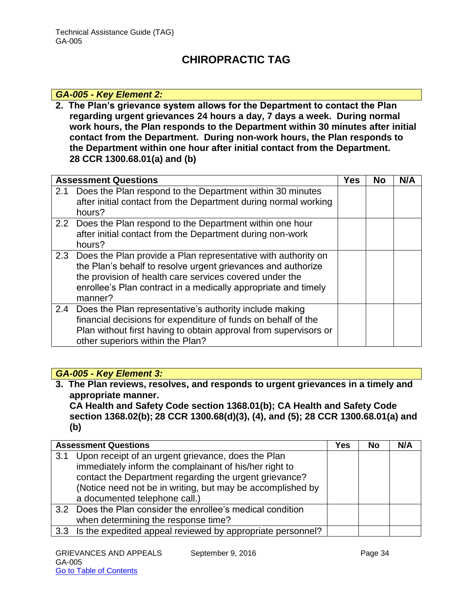#### *GA-005 - Key Element 2:*

**2. The Plan's grievance system allows for the Department to contact the Plan regarding urgent grievances 24 hours a day, 7 days a week. During normal work hours, the Plan responds to the Department within 30 minutes after initial contact from the Department. During non-work hours, the Plan responds to the Department within one hour after initial contact from the Department. 28 CCR 1300.68.01(a) and (b)**

| <b>Assessment Questions</b> |                                                                                                                                                                                                                                                                           | Yes | <b>No</b> | N/A |
|-----------------------------|---------------------------------------------------------------------------------------------------------------------------------------------------------------------------------------------------------------------------------------------------------------------------|-----|-----------|-----|
| 2.1                         | Does the Plan respond to the Department within 30 minutes<br>after initial contact from the Department during normal working<br>hours?                                                                                                                                    |     |           |     |
|                             | 2.2 Does the Plan respond to the Department within one hour<br>after initial contact from the Department during non-work<br>hours?                                                                                                                                        |     |           |     |
|                             | 2.3 Does the Plan provide a Plan representative with authority on<br>the Plan's behalf to resolve urgent grievances and authorize<br>the provision of health care services covered under the<br>enrollee's Plan contract in a medically appropriate and timely<br>manner? |     |           |     |
| 2.4                         | Does the Plan representative's authority include making<br>financial decisions for expenditure of funds on behalf of the<br>Plan without first having to obtain approval from supervisors or<br>other superiors within the Plan?                                          |     |           |     |

#### *GA-005 - Key Element 3:*

**3. The Plan reviews, resolves, and responds to urgent grievances in a timely and appropriate manner.** 

**CA Health and Safety Code section 1368.01(b); CA Health and Safety Code section 1368.02(b); 28 CCR 1300.68(d)(3), (4), and (5); 28 CCR 1300.68.01(a) and (b)**

| <b>Assessment Questions</b> |                                                                | Yes | No | N/A |
|-----------------------------|----------------------------------------------------------------|-----|----|-----|
| 3.1                         | Upon receipt of an urgent grievance, does the Plan             |     |    |     |
|                             | immediately inform the complainant of his/her right to         |     |    |     |
|                             | contact the Department regarding the urgent grievance?         |     |    |     |
|                             | (Notice need not be in writing, but may be accomplished by     |     |    |     |
|                             | a documented telephone call.)                                  |     |    |     |
|                             | 3.2 Does the Plan consider the enrollee's medical condition    |     |    |     |
|                             | when determining the response time?                            |     |    |     |
|                             | 3.3 Is the expedited appeal reviewed by appropriate personnel? |     |    |     |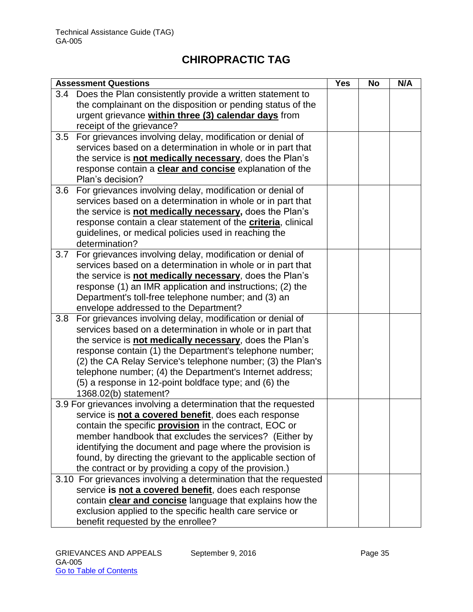| <b>Assessment Questions</b> |                                                                                                | <b>Yes</b> | <b>No</b> | N/A |
|-----------------------------|------------------------------------------------------------------------------------------------|------------|-----------|-----|
| 3.4                         | Does the Plan consistently provide a written statement to                                      |            |           |     |
|                             | the complainant on the disposition or pending status of the                                    |            |           |     |
|                             | urgent grievance within three (3) calendar days from                                           |            |           |     |
|                             | receipt of the grievance?                                                                      |            |           |     |
| 3.5                         | For grievances involving delay, modification or denial of                                      |            |           |     |
|                             | services based on a determination in whole or in part that                                     |            |           |     |
|                             | the service is <b>not medically necessary</b> , does the Plan's                                |            |           |     |
|                             | response contain a <b>clear and concise</b> explanation of the                                 |            |           |     |
|                             | Plan's decision?                                                                               |            |           |     |
| 3.6                         | For grievances involving delay, modification or denial of                                      |            |           |     |
|                             | services based on a determination in whole or in part that                                     |            |           |     |
|                             | the service is not medically necessary, does the Plan's                                        |            |           |     |
|                             | response contain a clear statement of the <b>criteria</b> , clinical                           |            |           |     |
|                             | guidelines, or medical policies used in reaching the                                           |            |           |     |
|                             | determination?                                                                                 |            |           |     |
| 3.7                         | For grievances involving delay, modification or denial of                                      |            |           |     |
|                             | services based on a determination in whole or in part that                                     |            |           |     |
|                             | the service is not medically necessary, does the Plan's                                        |            |           |     |
|                             | response (1) an IMR application and instructions; (2) the                                      |            |           |     |
|                             | Department's toll-free telephone number; and (3) an                                            |            |           |     |
|                             | envelope addressed to the Department?                                                          |            |           |     |
| 3.8                         | For grievances involving delay, modification or denial of                                      |            |           |     |
|                             | services based on a determination in whole or in part that                                     |            |           |     |
|                             | the service is not medically necessary, does the Plan's                                        |            |           |     |
|                             | response contain (1) the Department's telephone number;                                        |            |           |     |
|                             | (2) the CA Relay Service's telephone number; (3) the Plan's                                    |            |           |     |
|                             | telephone number; (4) the Department's Internet address;                                       |            |           |     |
|                             | (5) a response in 12-point boldface type; and (6) the                                          |            |           |     |
|                             | 1368.02(b) statement?                                                                          |            |           |     |
|                             | 3.9 For grievances involving a determination that the requested                                |            |           |     |
|                             | service is not a covered benefit, does each response                                           |            |           |     |
|                             | contain the specific <b>provision</b> in the contract, EOC or                                  |            |           |     |
|                             | member handbook that excludes the services? (Either by                                         |            |           |     |
|                             | identifying the document and page where the provision is                                       |            |           |     |
|                             | found, by directing the grievant to the applicable section of                                  |            |           |     |
|                             | the contract or by providing a copy of the provision.)                                         |            |           |     |
|                             | 3.10 For grievances involving a determination that the requested                               |            |           |     |
|                             | service is not a covered benefit, does each response                                           |            |           |     |
|                             | contain <b>clear and concise</b> language that explains how the                                |            |           |     |
|                             |                                                                                                |            |           |     |
|                             | exclusion applied to the specific health care service or<br>benefit requested by the enrollee? |            |           |     |